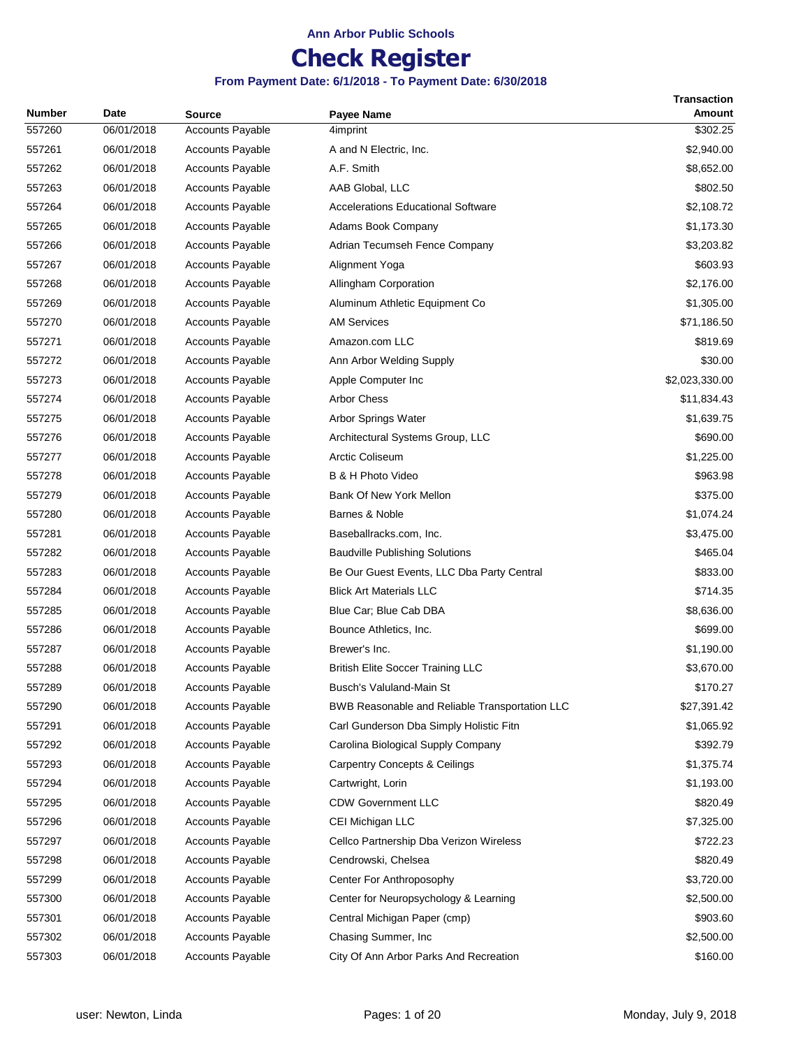## **Check Register**

|        |            |                         |                                                | Transaction    |
|--------|------------|-------------------------|------------------------------------------------|----------------|
| Number | Date       | <b>Source</b>           | <b>Payee Name</b>                              | <b>Amount</b>  |
| 557260 | 06/01/2018 | <b>Accounts Payable</b> | 4imprint                                       | \$302.25       |
| 557261 | 06/01/2018 | <b>Accounts Payable</b> | A and N Electric, Inc.                         | \$2,940.00     |
| 557262 | 06/01/2018 | <b>Accounts Payable</b> | A.F. Smith                                     | \$8,652.00     |
| 557263 | 06/01/2018 | <b>Accounts Payable</b> | AAB Global, LLC                                | \$802.50       |
| 557264 | 06/01/2018 | <b>Accounts Payable</b> | <b>Accelerations Educational Software</b>      | \$2,108.72     |
| 557265 | 06/01/2018 | <b>Accounts Payable</b> | Adams Book Company                             | \$1,173.30     |
| 557266 | 06/01/2018 | <b>Accounts Payable</b> | Adrian Tecumseh Fence Company                  | \$3,203.82     |
| 557267 | 06/01/2018 | <b>Accounts Payable</b> | Alignment Yoga                                 | \$603.93       |
| 557268 | 06/01/2018 | <b>Accounts Payable</b> | Allingham Corporation                          | \$2,176.00     |
| 557269 | 06/01/2018 | <b>Accounts Payable</b> | Aluminum Athletic Equipment Co                 | \$1,305.00     |
| 557270 | 06/01/2018 | <b>Accounts Payable</b> | <b>AM Services</b>                             | \$71,186.50    |
| 557271 | 06/01/2018 | <b>Accounts Payable</b> | Amazon.com LLC                                 | \$819.69       |
| 557272 | 06/01/2018 | <b>Accounts Payable</b> | Ann Arbor Welding Supply                       | \$30.00        |
| 557273 | 06/01/2018 | Accounts Payable        | Apple Computer Inc                             | \$2,023,330.00 |
| 557274 | 06/01/2018 | <b>Accounts Payable</b> | <b>Arbor Chess</b>                             | \$11,834.43    |
| 557275 | 06/01/2018 | <b>Accounts Payable</b> | Arbor Springs Water                            | \$1,639.75     |
| 557276 | 06/01/2018 | <b>Accounts Payable</b> | Architectural Systems Group, LLC               | \$690.00       |
| 557277 | 06/01/2018 | <b>Accounts Payable</b> | <b>Arctic Coliseum</b>                         | \$1,225.00     |
| 557278 | 06/01/2018 | <b>Accounts Payable</b> | B & H Photo Video                              | \$963.98       |
| 557279 | 06/01/2018 | <b>Accounts Payable</b> | Bank Of New York Mellon                        | \$375.00       |
| 557280 | 06/01/2018 | <b>Accounts Payable</b> | Barnes & Noble                                 | \$1,074.24     |
| 557281 | 06/01/2018 | <b>Accounts Payable</b> | Baseballracks.com, Inc.                        | \$3,475.00     |
| 557282 | 06/01/2018 | <b>Accounts Payable</b> | <b>Baudville Publishing Solutions</b>          | \$465.04       |
| 557283 | 06/01/2018 | <b>Accounts Payable</b> | Be Our Guest Events, LLC Dba Party Central     | \$833.00       |
| 557284 | 06/01/2018 | <b>Accounts Payable</b> | <b>Blick Art Materials LLC</b>                 | \$714.35       |
| 557285 | 06/01/2018 | <b>Accounts Payable</b> | Blue Car; Blue Cab DBA                         | \$8,636.00     |
| 557286 | 06/01/2018 | <b>Accounts Payable</b> | Bounce Athletics, Inc.                         | \$699.00       |
| 557287 | 06/01/2018 | <b>Accounts Payable</b> | Brewer's Inc.                                  | \$1,190.00     |
| 557288 | 06/01/2018 | <b>Accounts Payable</b> | <b>British Elite Soccer Training LLC</b>       | \$3,670.00     |
| 557289 | 06/01/2018 | <b>Accounts Payable</b> | Busch's Valuland-Main St                       | \$170.27       |
| 557290 | 06/01/2018 | <b>Accounts Payable</b> | BWB Reasonable and Reliable Transportation LLC | \$27,391.42    |
| 557291 | 06/01/2018 | <b>Accounts Payable</b> | Carl Gunderson Dba Simply Holistic Fitn        | \$1,065.92     |
| 557292 | 06/01/2018 | <b>Accounts Payable</b> | Carolina Biological Supply Company             | \$392.79       |
| 557293 | 06/01/2018 | <b>Accounts Payable</b> | <b>Carpentry Concepts &amp; Ceilings</b>       | \$1,375.74     |
| 557294 | 06/01/2018 | <b>Accounts Payable</b> | Cartwright, Lorin                              | \$1,193.00     |
| 557295 | 06/01/2018 | <b>Accounts Payable</b> | <b>CDW Government LLC</b>                      | \$820.49       |
| 557296 | 06/01/2018 | <b>Accounts Payable</b> | CEI Michigan LLC                               | \$7,325.00     |
| 557297 | 06/01/2018 | <b>Accounts Payable</b> | Cellco Partnership Dba Verizon Wireless        | \$722.23       |
| 557298 | 06/01/2018 | <b>Accounts Payable</b> | Cendrowski, Chelsea                            | \$820.49       |
| 557299 | 06/01/2018 | <b>Accounts Payable</b> | Center For Anthroposophy                       | \$3,720.00     |
| 557300 | 06/01/2018 | <b>Accounts Payable</b> | Center for Neuropsychology & Learning          | \$2,500.00     |
| 557301 | 06/01/2018 | <b>Accounts Payable</b> | Central Michigan Paper (cmp)                   | \$903.60       |
| 557302 | 06/01/2018 | <b>Accounts Payable</b> | Chasing Summer, Inc                            | \$2,500.00     |
| 557303 | 06/01/2018 | <b>Accounts Payable</b> | City Of Ann Arbor Parks And Recreation         | \$160.00       |
|        |            |                         |                                                |                |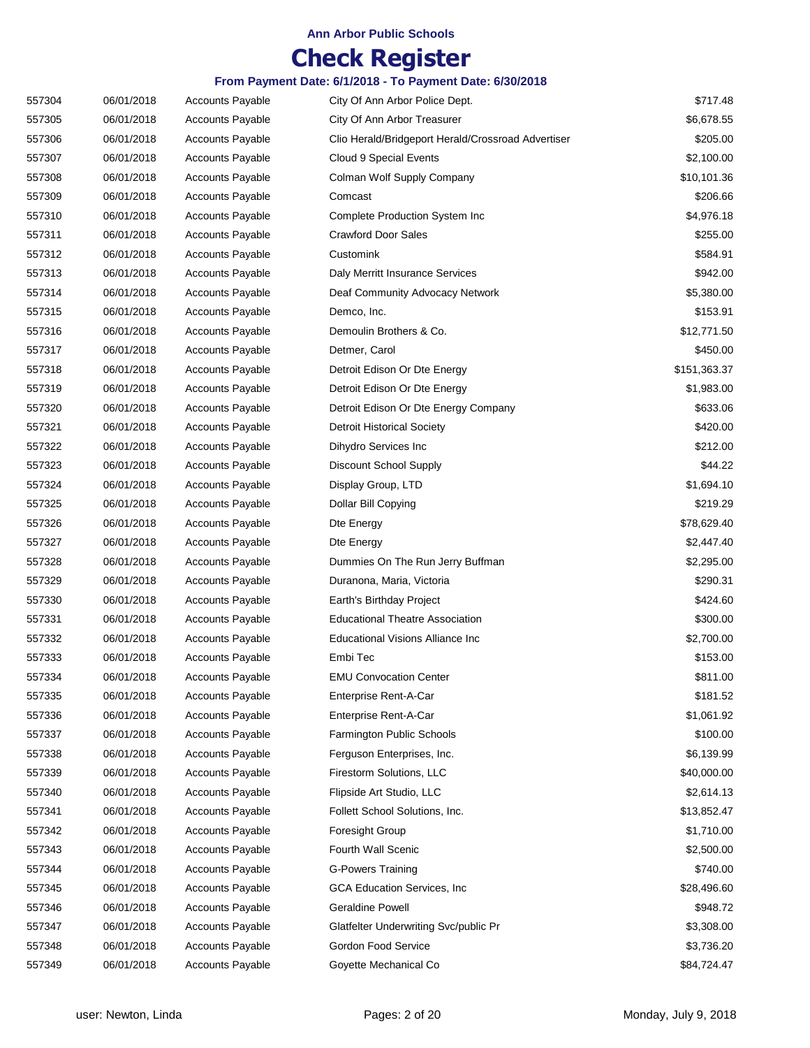# **Check Register**

| 557304 | 06/01/2018 | <b>Accounts Payable</b> | City Of Ann Arbor Police Dept.                     | \$717.48     |
|--------|------------|-------------------------|----------------------------------------------------|--------------|
| 557305 | 06/01/2018 | <b>Accounts Payable</b> | City Of Ann Arbor Treasurer                        | \$6,678.55   |
| 557306 | 06/01/2018 | <b>Accounts Payable</b> | Clio Herald/Bridgeport Herald/Crossroad Advertiser | \$205.00     |
| 557307 | 06/01/2018 | <b>Accounts Payable</b> | Cloud 9 Special Events                             | \$2,100.00   |
| 557308 | 06/01/2018 | <b>Accounts Payable</b> | Colman Wolf Supply Company                         | \$10,101.36  |
| 557309 | 06/01/2018 | <b>Accounts Payable</b> | Comcast                                            | \$206.66     |
| 557310 | 06/01/2018 | <b>Accounts Payable</b> | Complete Production System Inc                     | \$4,976.18   |
| 557311 | 06/01/2018 | <b>Accounts Payable</b> | <b>Crawford Door Sales</b>                         | \$255.00     |
| 557312 | 06/01/2018 | <b>Accounts Payable</b> | Customink                                          | \$584.91     |
| 557313 | 06/01/2018 | <b>Accounts Payable</b> | Daly Merritt Insurance Services                    | \$942.00     |
| 557314 | 06/01/2018 | <b>Accounts Payable</b> | Deaf Community Advocacy Network                    | \$5,380.00   |
| 557315 | 06/01/2018 | <b>Accounts Payable</b> | Demco, Inc.                                        | \$153.91     |
| 557316 | 06/01/2018 | <b>Accounts Payable</b> | Demoulin Brothers & Co.                            | \$12,771.50  |
| 557317 | 06/01/2018 | <b>Accounts Payable</b> | Detmer, Carol                                      | \$450.00     |
| 557318 | 06/01/2018 | <b>Accounts Payable</b> | Detroit Edison Or Dte Energy                       | \$151,363.37 |
| 557319 | 06/01/2018 | <b>Accounts Payable</b> | Detroit Edison Or Dte Energy                       | \$1,983.00   |
| 557320 | 06/01/2018 | <b>Accounts Payable</b> | Detroit Edison Or Dte Energy Company               | \$633.06     |
| 557321 | 06/01/2018 | <b>Accounts Payable</b> | <b>Detroit Historical Society</b>                  | \$420.00     |
| 557322 | 06/01/2018 | <b>Accounts Payable</b> | Dihydro Services Inc                               | \$212.00     |
| 557323 | 06/01/2018 | <b>Accounts Payable</b> | Discount School Supply                             | \$44.22      |
| 557324 | 06/01/2018 | <b>Accounts Payable</b> | Display Group, LTD                                 | \$1,694.10   |
| 557325 | 06/01/2018 | <b>Accounts Payable</b> | Dollar Bill Copying                                | \$219.29     |
| 557326 | 06/01/2018 | <b>Accounts Payable</b> | Dte Energy                                         | \$78,629.40  |
| 557327 | 06/01/2018 | <b>Accounts Payable</b> | Dte Energy                                         | \$2,447.40   |
| 557328 | 06/01/2018 | <b>Accounts Payable</b> | Dummies On The Run Jerry Buffman                   | \$2,295.00   |
| 557329 | 06/01/2018 | <b>Accounts Payable</b> | Duranona, Maria, Victoria                          | \$290.31     |
| 557330 | 06/01/2018 | <b>Accounts Payable</b> | Earth's Birthday Project                           | \$424.60     |
| 557331 | 06/01/2018 | Accounts Payable        | <b>Educational Theatre Association</b>             | \$300.00     |
| 557332 | 06/01/2018 | <b>Accounts Payable</b> | <b>Educational Visions Alliance Inc</b>            | \$2,700.00   |
| 557333 | 06/01/2018 | Accounts Payable        | Embi Tec                                           | \$153.00     |
| 557334 | 06/01/2018 | <b>Accounts Payable</b> | <b>EMU Convocation Center</b>                      | \$811.00     |
| 557335 | 06/01/2018 | <b>Accounts Payable</b> | Enterprise Rent-A-Car                              | \$181.52     |
| 557336 | 06/01/2018 | Accounts Payable        | Enterprise Rent-A-Car                              | \$1,061.92   |
| 557337 | 06/01/2018 | Accounts Payable        | Farmington Public Schools                          | \$100.00     |
| 557338 | 06/01/2018 | <b>Accounts Payable</b> | Ferguson Enterprises, Inc.                         | \$6,139.99   |
| 557339 | 06/01/2018 | <b>Accounts Payable</b> | Firestorm Solutions, LLC                           | \$40,000.00  |
| 557340 | 06/01/2018 | Accounts Payable        | Flipside Art Studio, LLC                           | \$2,614.13   |
| 557341 | 06/01/2018 | <b>Accounts Payable</b> | Follett School Solutions, Inc.                     | \$13,852.47  |
| 557342 | 06/01/2018 | <b>Accounts Payable</b> | <b>Foresight Group</b>                             | \$1,710.00   |
| 557343 | 06/01/2018 | <b>Accounts Payable</b> | Fourth Wall Scenic                                 | \$2,500.00   |
| 557344 | 06/01/2018 | <b>Accounts Payable</b> | <b>G-Powers Training</b>                           | \$740.00     |
| 557345 | 06/01/2018 | <b>Accounts Payable</b> | GCA Education Services, Inc.                       | \$28,496.60  |
| 557346 | 06/01/2018 | <b>Accounts Payable</b> | Geraldine Powell                                   | \$948.72     |
| 557347 | 06/01/2018 | <b>Accounts Payable</b> | Glatfelter Underwriting Svc/public Pr              | \$3,308.00   |
| 557348 | 06/01/2018 | <b>Accounts Payable</b> | Gordon Food Service                                | \$3,736.20   |
| 557349 | 06/01/2018 | <b>Accounts Payable</b> | Goyette Mechanical Co                              | \$84,724.47  |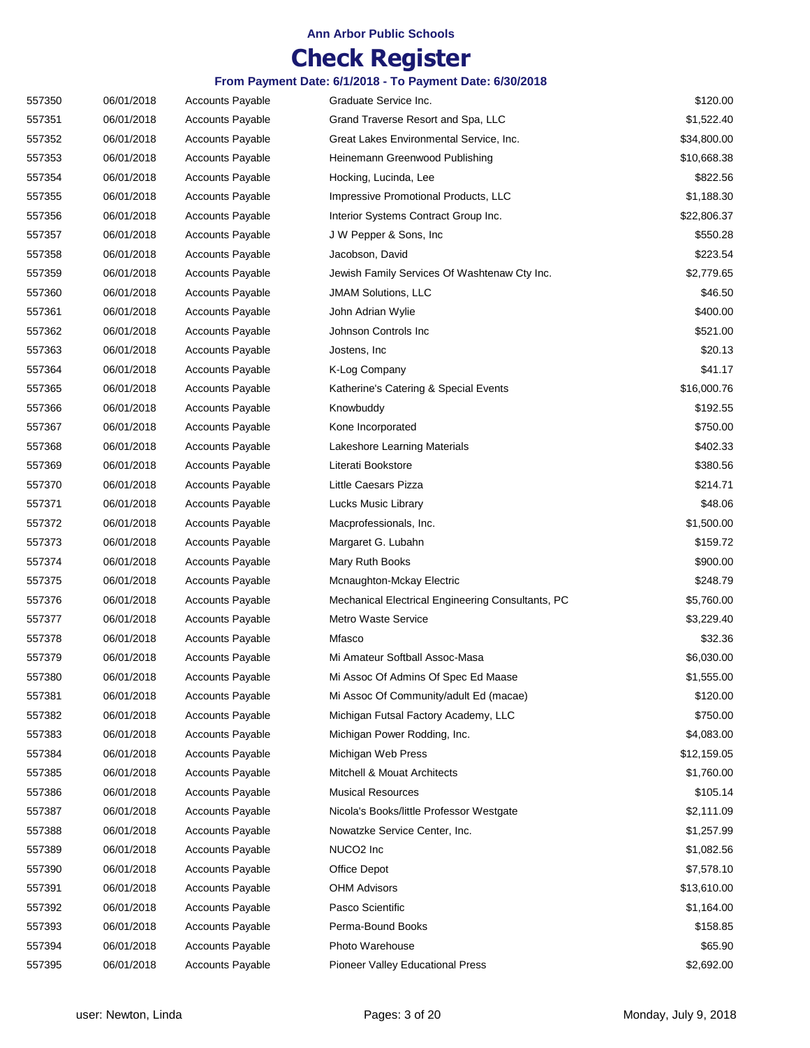## **Check Register**

| From Payment Date: 6/1/2018 - To Payment Date: 6/30/2018 |  |
|----------------------------------------------------------|--|
|----------------------------------------------------------|--|

| 557350 | 06/01/2018 | <b>Accounts Payable</b> | Graduate Service Inc.                             | \$120.00    |
|--------|------------|-------------------------|---------------------------------------------------|-------------|
| 557351 | 06/01/2018 | <b>Accounts Payable</b> | Grand Traverse Resort and Spa, LLC                | \$1,522.40  |
| 557352 | 06/01/2018 | <b>Accounts Payable</b> | Great Lakes Environmental Service, Inc.           | \$34,800.00 |
| 557353 | 06/01/2018 | <b>Accounts Payable</b> | Heinemann Greenwood Publishing                    | \$10,668.38 |
| 557354 | 06/01/2018 | <b>Accounts Payable</b> | Hocking, Lucinda, Lee                             | \$822.56    |
| 557355 | 06/01/2018 | <b>Accounts Payable</b> | Impressive Promotional Products, LLC              | \$1,188.30  |
| 557356 | 06/01/2018 | <b>Accounts Payable</b> | Interior Systems Contract Group Inc.              | \$22,806.37 |
| 557357 | 06/01/2018 | <b>Accounts Payable</b> | J W Pepper & Sons, Inc.                           | \$550.28    |
| 557358 | 06/01/2018 | <b>Accounts Payable</b> | Jacobson, David                                   | \$223.54    |
| 557359 | 06/01/2018 | <b>Accounts Payable</b> | Jewish Family Services Of Washtenaw Cty Inc.      | \$2,779.65  |
| 557360 | 06/01/2018 | <b>Accounts Payable</b> | <b>JMAM Solutions, LLC</b>                        | \$46.50     |
| 557361 | 06/01/2018 | <b>Accounts Payable</b> | John Adrian Wylie                                 | \$400.00    |
| 557362 | 06/01/2018 | <b>Accounts Payable</b> | Johnson Controls Inc                              | \$521.00    |
| 557363 | 06/01/2018 | <b>Accounts Payable</b> | Jostens, Inc.                                     | \$20.13     |
| 557364 | 06/01/2018 | <b>Accounts Payable</b> | K-Log Company                                     | \$41.17     |
| 557365 | 06/01/2018 | <b>Accounts Payable</b> | Katherine's Catering & Special Events             | \$16,000.76 |
| 557366 | 06/01/2018 | <b>Accounts Payable</b> | Knowbuddy                                         | \$192.55    |
| 557367 | 06/01/2018 | <b>Accounts Payable</b> | Kone Incorporated                                 | \$750.00    |
| 557368 | 06/01/2018 | Accounts Payable        | Lakeshore Learning Materials                      | \$402.33    |
| 557369 | 06/01/2018 | <b>Accounts Payable</b> | Literati Bookstore                                | \$380.56    |
| 557370 | 06/01/2018 | <b>Accounts Payable</b> | Little Caesars Pizza                              | \$214.71    |
| 557371 | 06/01/2018 | <b>Accounts Payable</b> | Lucks Music Library                               | \$48.06     |
| 557372 | 06/01/2018 | <b>Accounts Payable</b> | Macprofessionals, Inc.                            | \$1,500.00  |
| 557373 | 06/01/2018 | <b>Accounts Payable</b> | Margaret G. Lubahn                                | \$159.72    |
| 557374 | 06/01/2018 | <b>Accounts Payable</b> | Mary Ruth Books                                   | \$900.00    |
| 557375 | 06/01/2018 | <b>Accounts Payable</b> | Mcnaughton-Mckay Electric                         | \$248.79    |
| 557376 | 06/01/2018 | <b>Accounts Payable</b> | Mechanical Electrical Engineering Consultants, PC | \$5,760.00  |
| 557377 | 06/01/2018 | Accounts Payable        | Metro Waste Service                               | \$3,229.40  |
| 557378 | 06/01/2018 | <b>Accounts Payable</b> | Mfasco                                            | \$32.36     |
| 557379 | 06/01/2018 | <b>Accounts Payable</b> | Mi Amateur Softball Assoc-Masa                    | \$6,030.00  |
| 557380 | 06/01/2018 | <b>Accounts Payable</b> | Mi Assoc Of Admins Of Spec Ed Maase               | \$1,555.00  |
| 557381 | 06/01/2018 | <b>Accounts Payable</b> | Mi Assoc Of Community/adult Ed (macae)            | \$120.00    |
| 557382 | 06/01/2018 | <b>Accounts Payable</b> | Michigan Futsal Factory Academy, LLC              | \$750.00    |
| 557383 | 06/01/2018 | <b>Accounts Payable</b> | Michigan Power Rodding, Inc.                      | \$4,083.00  |
| 557384 | 06/01/2018 | Accounts Payable        | Michigan Web Press                                | \$12,159.05 |
| 557385 | 06/01/2018 | <b>Accounts Payable</b> | Mitchell & Mouat Architects                       | \$1,760.00  |
| 557386 | 06/01/2018 | <b>Accounts Payable</b> | <b>Musical Resources</b>                          | \$105.14    |
| 557387 | 06/01/2018 | <b>Accounts Payable</b> | Nicola's Books/little Professor Westgate          | \$2,111.09  |
| 557388 | 06/01/2018 | <b>Accounts Payable</b> | Nowatzke Service Center, Inc.                     | \$1,257.99  |
| 557389 | 06/01/2018 | Accounts Payable        | NUCO <sub>2</sub> Inc                             | \$1,082.56  |
| 557390 | 06/01/2018 | Accounts Payable        | Office Depot                                      | \$7,578.10  |
| 557391 | 06/01/2018 | <b>Accounts Payable</b> | <b>OHM Advisors</b>                               | \$13,610.00 |
| 557392 | 06/01/2018 | Accounts Payable        | Pasco Scientific                                  | \$1,164.00  |
| 557393 | 06/01/2018 | <b>Accounts Payable</b> | Perma-Bound Books                                 | \$158.85    |
| 557394 | 06/01/2018 | Accounts Payable        | Photo Warehouse                                   | \$65.90     |
| 557395 | 06/01/2018 | Accounts Payable        | Pioneer Valley Educational Press                  | \$2,692.00  |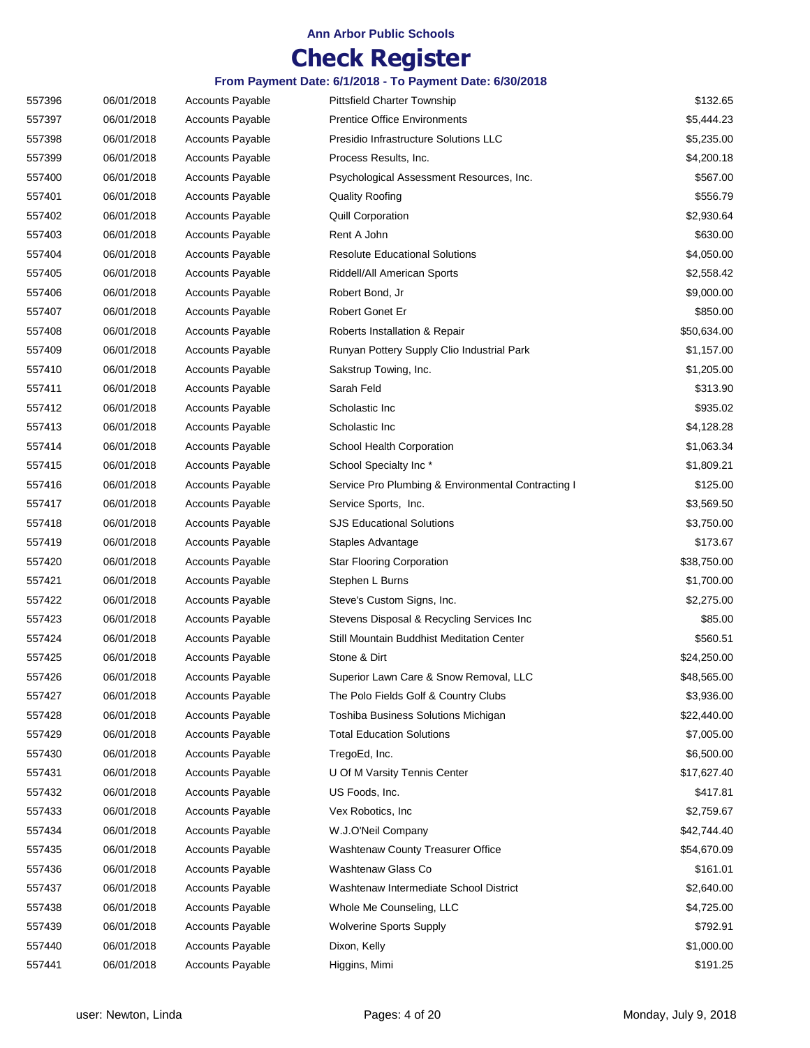## **Check Register**

| 557396 | 06/01/2018 | Accounts Payable        | <b>Pittsfield Charter Township</b>                 | \$132.65    |
|--------|------------|-------------------------|----------------------------------------------------|-------------|
| 557397 | 06/01/2018 | <b>Accounts Payable</b> | <b>Prentice Office Environments</b>                | \$5,444.23  |
| 557398 | 06/01/2018 | <b>Accounts Payable</b> | Presidio Infrastructure Solutions LLC              | \$5,235.00  |
| 557399 | 06/01/2018 | <b>Accounts Payable</b> | Process Results, Inc.                              | \$4,200.18  |
| 557400 | 06/01/2018 | <b>Accounts Payable</b> | Psychological Assessment Resources, Inc.           | \$567.00    |
| 557401 | 06/01/2018 | <b>Accounts Payable</b> | <b>Quality Roofing</b>                             | \$556.79    |
| 557402 | 06/01/2018 | <b>Accounts Payable</b> | <b>Quill Corporation</b>                           | \$2,930.64  |
| 557403 | 06/01/2018 | <b>Accounts Payable</b> | Rent A John                                        | \$630.00    |
| 557404 | 06/01/2018 | <b>Accounts Payable</b> | <b>Resolute Educational Solutions</b>              | \$4,050.00  |
| 557405 | 06/01/2018 | <b>Accounts Payable</b> | Riddell/All American Sports                        | \$2,558.42  |
| 557406 | 06/01/2018 | <b>Accounts Payable</b> | Robert Bond, Jr                                    | \$9,000.00  |
| 557407 | 06/01/2018 | <b>Accounts Payable</b> | Robert Gonet Er                                    | \$850.00    |
| 557408 | 06/01/2018 | <b>Accounts Payable</b> | Roberts Installation & Repair                      | \$50,634.00 |
| 557409 | 06/01/2018 | <b>Accounts Payable</b> | Runyan Pottery Supply Clio Industrial Park         | \$1,157.00  |
| 557410 | 06/01/2018 | <b>Accounts Payable</b> | Sakstrup Towing, Inc.                              | \$1,205.00  |
| 557411 | 06/01/2018 | <b>Accounts Payable</b> | Sarah Feld                                         | \$313.90    |
| 557412 | 06/01/2018 | <b>Accounts Payable</b> | Scholastic Inc                                     | \$935.02    |
| 557413 | 06/01/2018 | <b>Accounts Payable</b> | Scholastic Inc                                     | \$4,128.28  |
| 557414 | 06/01/2018 | <b>Accounts Payable</b> | School Health Corporation                          | \$1,063.34  |
| 557415 | 06/01/2018 | <b>Accounts Payable</b> | School Specialty Inc*                              | \$1,809.21  |
| 557416 | 06/01/2018 | <b>Accounts Payable</b> | Service Pro Plumbing & Environmental Contracting I | \$125.00    |
| 557417 | 06/01/2018 | <b>Accounts Payable</b> | Service Sports, Inc.                               | \$3,569.50  |
| 557418 | 06/01/2018 | <b>Accounts Payable</b> | <b>SJS Educational Solutions</b>                   | \$3,750.00  |
| 557419 | 06/01/2018 | <b>Accounts Payable</b> | Staples Advantage                                  | \$173.67    |
| 557420 | 06/01/2018 | <b>Accounts Payable</b> | <b>Star Flooring Corporation</b>                   | \$38,750.00 |
| 557421 | 06/01/2018 | <b>Accounts Payable</b> | Stephen L Burns                                    | \$1,700.00  |
| 557422 | 06/01/2018 | <b>Accounts Payable</b> | Steve's Custom Signs, Inc.                         | \$2,275.00  |
| 557423 | 06/01/2018 | <b>Accounts Payable</b> | Stevens Disposal & Recycling Services Inc          | \$85.00     |
| 557424 | 06/01/2018 | <b>Accounts Payable</b> | Still Mountain Buddhist Meditation Center          | \$560.51    |
| 557425 | 06/01/2018 | <b>Accounts Payable</b> | Stone & Dirt                                       | \$24,250.00 |
| 557426 | 06/01/2018 | Accounts Payable        | Superior Lawn Care & Snow Removal, LLC             | \$48,565.00 |
| 557427 | 06/01/2018 | <b>Accounts Payable</b> | The Polo Fields Golf & Country Clubs               | \$3,936.00  |
| 557428 | 06/01/2018 | Accounts Payable        | Toshiba Business Solutions Michigan                | \$22,440.00 |
| 557429 | 06/01/2018 | <b>Accounts Payable</b> | <b>Total Education Solutions</b>                   | \$7,005.00  |
| 557430 | 06/01/2018 | <b>Accounts Payable</b> | TregoEd, Inc.                                      | \$6,500.00  |
| 557431 | 06/01/2018 | <b>Accounts Payable</b> | U Of M Varsity Tennis Center                       | \$17,627.40 |
| 557432 | 06/01/2018 | <b>Accounts Payable</b> | US Foods, Inc.                                     | \$417.81    |
| 557433 | 06/01/2018 | <b>Accounts Payable</b> | Vex Robotics, Inc.                                 | \$2,759.67  |
| 557434 | 06/01/2018 | <b>Accounts Payable</b> | W.J.O'Neil Company                                 | \$42,744.40 |
| 557435 | 06/01/2018 | <b>Accounts Payable</b> | Washtenaw County Treasurer Office                  | \$54,670.09 |
| 557436 | 06/01/2018 | <b>Accounts Payable</b> | Washtenaw Glass Co                                 | \$161.01    |
| 557437 | 06/01/2018 | <b>Accounts Payable</b> | Washtenaw Intermediate School District             | \$2,640.00  |
| 557438 | 06/01/2018 | <b>Accounts Payable</b> | Whole Me Counseling, LLC                           | \$4,725.00  |
| 557439 | 06/01/2018 | <b>Accounts Payable</b> | <b>Wolverine Sports Supply</b>                     | \$792.91    |
| 557440 | 06/01/2018 | <b>Accounts Payable</b> | Dixon, Kelly                                       | \$1,000.00  |
| 557441 | 06/01/2018 | <b>Accounts Payable</b> | Higgins, Mimi                                      | \$191.25    |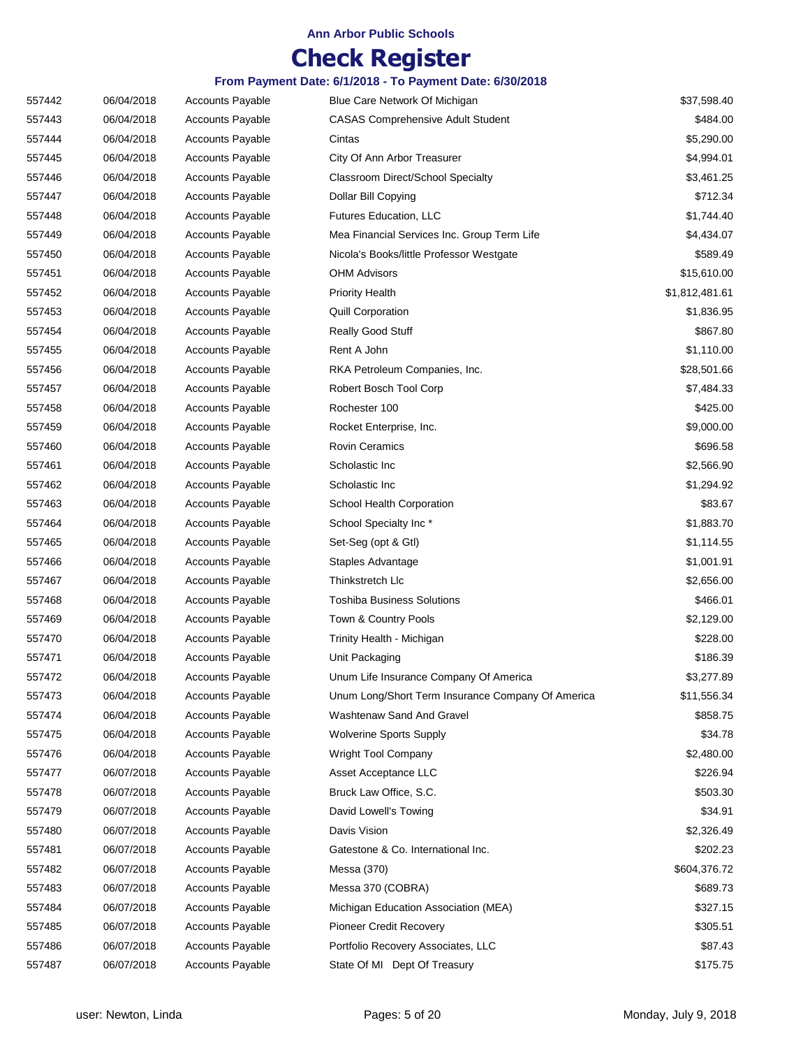# **Check Register**

| 557442 | 06/04/2018 | <b>Accounts Payable</b> | Blue Care Network Of Michigan                     | \$37,598.40    |
|--------|------------|-------------------------|---------------------------------------------------|----------------|
| 557443 | 06/04/2018 | <b>Accounts Payable</b> | <b>CASAS Comprehensive Adult Student</b>          | \$484.00       |
| 557444 | 06/04/2018 | <b>Accounts Payable</b> | Cintas                                            | \$5,290.00     |
| 557445 | 06/04/2018 | <b>Accounts Payable</b> | City Of Ann Arbor Treasurer                       | \$4,994.01     |
| 557446 | 06/04/2018 | <b>Accounts Payable</b> | <b>Classroom Direct/School Specialty</b>          | \$3,461.25     |
| 557447 | 06/04/2018 | <b>Accounts Payable</b> | Dollar Bill Copying                               | \$712.34       |
| 557448 | 06/04/2018 | <b>Accounts Payable</b> | Futures Education, LLC                            | \$1,744.40     |
| 557449 | 06/04/2018 | <b>Accounts Payable</b> | Mea Financial Services Inc. Group Term Life       | \$4,434.07     |
| 557450 | 06/04/2018 | Accounts Payable        | Nicola's Books/little Professor Westgate          | \$589.49       |
| 557451 | 06/04/2018 | <b>Accounts Payable</b> | <b>OHM Advisors</b>                               | \$15,610.00    |
| 557452 | 06/04/2018 | <b>Accounts Payable</b> | <b>Priority Health</b>                            | \$1,812,481.61 |
| 557453 | 06/04/2018 | <b>Accounts Payable</b> | <b>Quill Corporation</b>                          | \$1,836.95     |
| 557454 | 06/04/2018 | Accounts Payable        | Really Good Stuff                                 | \$867.80       |
| 557455 | 06/04/2018 | <b>Accounts Payable</b> | Rent A John                                       | \$1,110.00     |
| 557456 | 06/04/2018 | <b>Accounts Payable</b> | RKA Petroleum Companies, Inc.                     | \$28,501.66    |
| 557457 | 06/04/2018 | Accounts Payable        | Robert Bosch Tool Corp                            | \$7,484.33     |
| 557458 | 06/04/2018 | <b>Accounts Payable</b> | Rochester 100                                     | \$425.00       |
| 557459 | 06/04/2018 | <b>Accounts Payable</b> | Rocket Enterprise, Inc.                           | \$9,000.00     |
| 557460 | 06/04/2018 | <b>Accounts Payable</b> | <b>Rovin Ceramics</b>                             | \$696.58       |
| 557461 | 06/04/2018 | <b>Accounts Payable</b> | Scholastic Inc                                    | \$2,566.90     |
| 557462 | 06/04/2018 | <b>Accounts Payable</b> | Scholastic Inc                                    | \$1,294.92     |
| 557463 | 06/04/2018 | <b>Accounts Payable</b> | School Health Corporation                         | \$83.67        |
| 557464 | 06/04/2018 | <b>Accounts Payable</b> | School Specialty Inc*                             | \$1,883.70     |
| 557465 | 06/04/2018 | <b>Accounts Payable</b> | Set-Seg (opt & Gtl)                               | \$1,114.55     |
| 557466 | 06/04/2018 | <b>Accounts Payable</b> | Staples Advantage                                 | \$1,001.91     |
| 557467 | 06/04/2018 | <b>Accounts Payable</b> | Thinkstretch Llc                                  | \$2,656.00     |
| 557468 | 06/04/2018 | <b>Accounts Payable</b> | <b>Toshiba Business Solutions</b>                 | \$466.01       |
| 557469 | 06/04/2018 | <b>Accounts Payable</b> | Town & Country Pools                              | \$2,129.00     |
| 557470 | 06/04/2018 | <b>Accounts Payable</b> | Trinity Health - Michigan                         | \$228.00       |
| 557471 | 06/04/2018 | <b>Accounts Payable</b> | Unit Packaging                                    | \$186.39       |
| 557472 | 06/04/2018 | <b>Accounts Payable</b> | Unum Life Insurance Company Of America            | \$3,277.89     |
| 557473 | 06/04/2018 | <b>Accounts Payable</b> | Unum Long/Short Term Insurance Company Of America | \$11,556.34    |
| 557474 | 06/04/2018 | <b>Accounts Payable</b> | Washtenaw Sand And Gravel                         | \$858.75       |
| 557475 | 06/04/2018 | <b>Accounts Payable</b> | <b>Wolverine Sports Supply</b>                    | \$34.78        |
| 557476 | 06/04/2018 | <b>Accounts Payable</b> | Wright Tool Company                               | \$2,480.00     |
| 557477 | 06/07/2018 | <b>Accounts Payable</b> | Asset Acceptance LLC                              | \$226.94       |
| 557478 | 06/07/2018 | <b>Accounts Payable</b> | Bruck Law Office, S.C.                            | \$503.30       |
| 557479 | 06/07/2018 | <b>Accounts Payable</b> | David Lowell's Towing                             | \$34.91        |
| 557480 | 06/07/2018 | <b>Accounts Payable</b> | Davis Vision                                      | \$2,326.49     |
| 557481 | 06/07/2018 | <b>Accounts Payable</b> | Gatestone & Co. International Inc.                | \$202.23       |
| 557482 | 06/07/2018 | <b>Accounts Payable</b> | Messa (370)                                       | \$604,376.72   |
| 557483 | 06/07/2018 | <b>Accounts Payable</b> | Messa 370 (COBRA)                                 | \$689.73       |
| 557484 | 06/07/2018 | <b>Accounts Payable</b> | Michigan Education Association (MEA)              | \$327.15       |
| 557485 | 06/07/2018 | <b>Accounts Payable</b> | Pioneer Credit Recovery                           | \$305.51       |
| 557486 | 06/07/2018 | <b>Accounts Payable</b> | Portfolio Recovery Associates, LLC                | \$87.43        |
| 557487 | 06/07/2018 | <b>Accounts Payable</b> | State Of MI Dept Of Treasury                      | \$175.75       |
|        |            |                         |                                                   |                |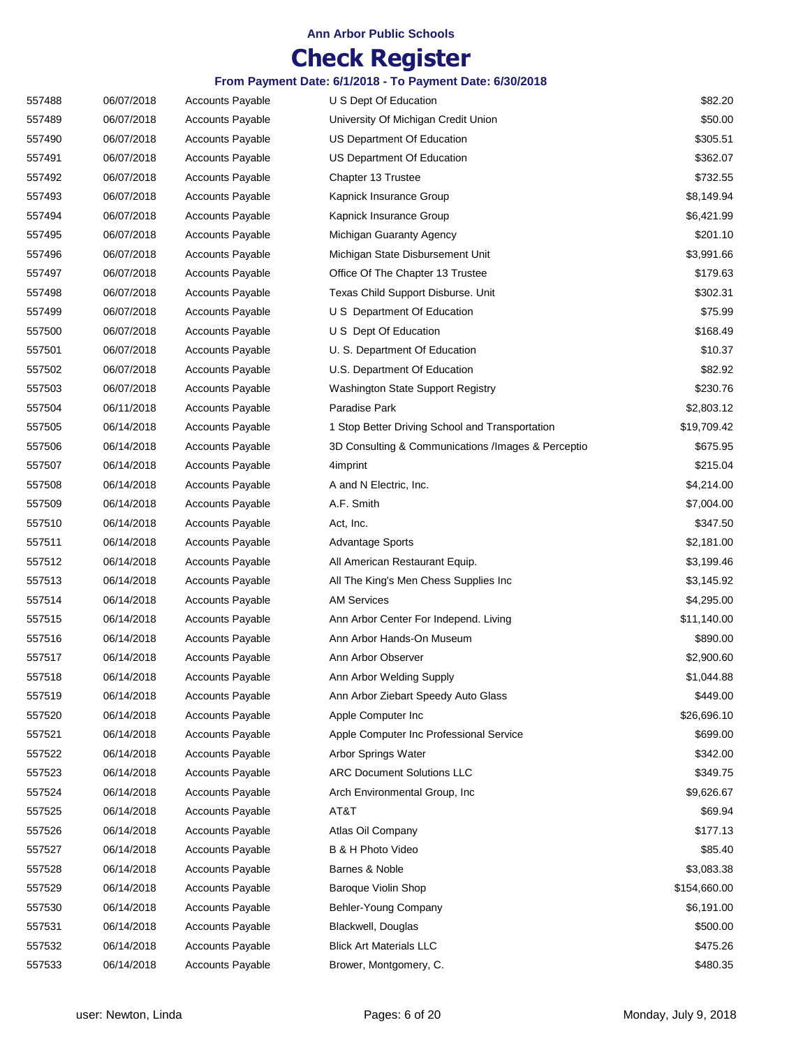## **Check Register**

| 557488 | 06/07/2018 | <b>Accounts Payable</b> | U S Dept Of Education                              | \$82.20      |
|--------|------------|-------------------------|----------------------------------------------------|--------------|
| 557489 | 06/07/2018 | <b>Accounts Payable</b> | University Of Michigan Credit Union                | \$50.00      |
| 557490 | 06/07/2018 | <b>Accounts Payable</b> | US Department Of Education                         | \$305.51     |
| 557491 | 06/07/2018 | <b>Accounts Payable</b> | US Department Of Education                         | \$362.07     |
| 557492 | 06/07/2018 | <b>Accounts Payable</b> | Chapter 13 Trustee                                 | \$732.55     |
| 557493 | 06/07/2018 | <b>Accounts Payable</b> | Kapnick Insurance Group                            | \$8,149.94   |
| 557494 | 06/07/2018 | <b>Accounts Payable</b> | Kapnick Insurance Group                            | \$6,421.99   |
| 557495 | 06/07/2018 | <b>Accounts Payable</b> | Michigan Guaranty Agency                           | \$201.10     |
| 557496 | 06/07/2018 | <b>Accounts Payable</b> | Michigan State Disbursement Unit                   | \$3,991.66   |
| 557497 | 06/07/2018 | <b>Accounts Payable</b> | Office Of The Chapter 13 Trustee                   | \$179.63     |
| 557498 | 06/07/2018 | Accounts Payable        | Texas Child Support Disburse. Unit                 | \$302.31     |
| 557499 | 06/07/2018 | <b>Accounts Payable</b> | U S Department Of Education                        | \$75.99      |
| 557500 | 06/07/2018 | <b>Accounts Payable</b> | U S Dept Of Education                              | \$168.49     |
| 557501 | 06/07/2018 | <b>Accounts Payable</b> | U. S. Department Of Education                      | \$10.37      |
| 557502 | 06/07/2018 | <b>Accounts Payable</b> | U.S. Department Of Education                       | \$82.92      |
| 557503 | 06/07/2018 | <b>Accounts Payable</b> | Washington State Support Registry                  | \$230.76     |
| 557504 | 06/11/2018 | <b>Accounts Payable</b> | Paradise Park                                      | \$2,803.12   |
| 557505 | 06/14/2018 | <b>Accounts Payable</b> | 1 Stop Better Driving School and Transportation    | \$19,709.42  |
| 557506 | 06/14/2018 | <b>Accounts Payable</b> | 3D Consulting & Communications /Images & Perceptio | \$675.95     |
| 557507 | 06/14/2018 | <b>Accounts Payable</b> | 4imprint                                           | \$215.04     |
| 557508 | 06/14/2018 | <b>Accounts Payable</b> | A and N Electric, Inc.                             | \$4,214.00   |
| 557509 | 06/14/2018 | <b>Accounts Payable</b> | A.F. Smith                                         | \$7,004.00   |
| 557510 | 06/14/2018 | <b>Accounts Payable</b> | Act, Inc.                                          | \$347.50     |
| 557511 | 06/14/2018 | <b>Accounts Payable</b> | <b>Advantage Sports</b>                            | \$2,181.00   |
| 557512 | 06/14/2018 | <b>Accounts Payable</b> | All American Restaurant Equip.                     | \$3,199.46   |
| 557513 | 06/14/2018 | <b>Accounts Payable</b> | All The King's Men Chess Supplies Inc              | \$3,145.92   |
| 557514 | 06/14/2018 | <b>Accounts Payable</b> | <b>AM Services</b>                                 | \$4,295.00   |
| 557515 | 06/14/2018 | <b>Accounts Payable</b> | Ann Arbor Center For Independ. Living              | \$11,140.00  |
| 557516 | 06/14/2018 | <b>Accounts Payable</b> | Ann Arbor Hands-On Museum                          | \$890.00     |
| 557517 | 06/14/2018 | Accounts Payable        | Ann Arbor Observer                                 | \$2,900.60   |
| 557518 | 06/14/2018 | <b>Accounts Payable</b> | Ann Arbor Welding Supply                           | \$1,044.88   |
| 557519 | 06/14/2018 | <b>Accounts Payable</b> | Ann Arbor Ziebart Speedy Auto Glass                | \$449.00     |
| 557520 | 06/14/2018 | Accounts Payable        | Apple Computer Inc                                 | \$26,696.10  |
| 557521 | 06/14/2018 | Accounts Payable        | Apple Computer Inc Professional Service            | \$699.00     |
| 557522 | 06/14/2018 | <b>Accounts Payable</b> | Arbor Springs Water                                | \$342.00     |
| 557523 | 06/14/2018 | <b>Accounts Payable</b> | <b>ARC Document Solutions LLC</b>                  | \$349.75     |
| 557524 | 06/14/2018 | <b>Accounts Payable</b> | Arch Environmental Group, Inc                      | \$9,626.67   |
| 557525 | 06/14/2018 | <b>Accounts Payable</b> | AT&T                                               | \$69.94      |
| 557526 | 06/14/2018 | <b>Accounts Payable</b> | Atlas Oil Company                                  | \$177.13     |
| 557527 | 06/14/2018 | <b>Accounts Payable</b> | B & H Photo Video                                  | \$85.40      |
| 557528 | 06/14/2018 | <b>Accounts Payable</b> | Barnes & Noble                                     | \$3,083.38   |
| 557529 | 06/14/2018 | <b>Accounts Payable</b> | <b>Baroque Violin Shop</b>                         | \$154,660.00 |
| 557530 | 06/14/2018 | <b>Accounts Payable</b> | Behler-Young Company                               | \$6,191.00   |
| 557531 | 06/14/2018 | <b>Accounts Payable</b> | Blackwell, Douglas                                 | \$500.00     |
| 557532 | 06/14/2018 | <b>Accounts Payable</b> | <b>Blick Art Materials LLC</b>                     | \$475.26     |
| 557533 | 06/14/2018 | Accounts Payable        | Brower, Montgomery, C.                             | \$480.35     |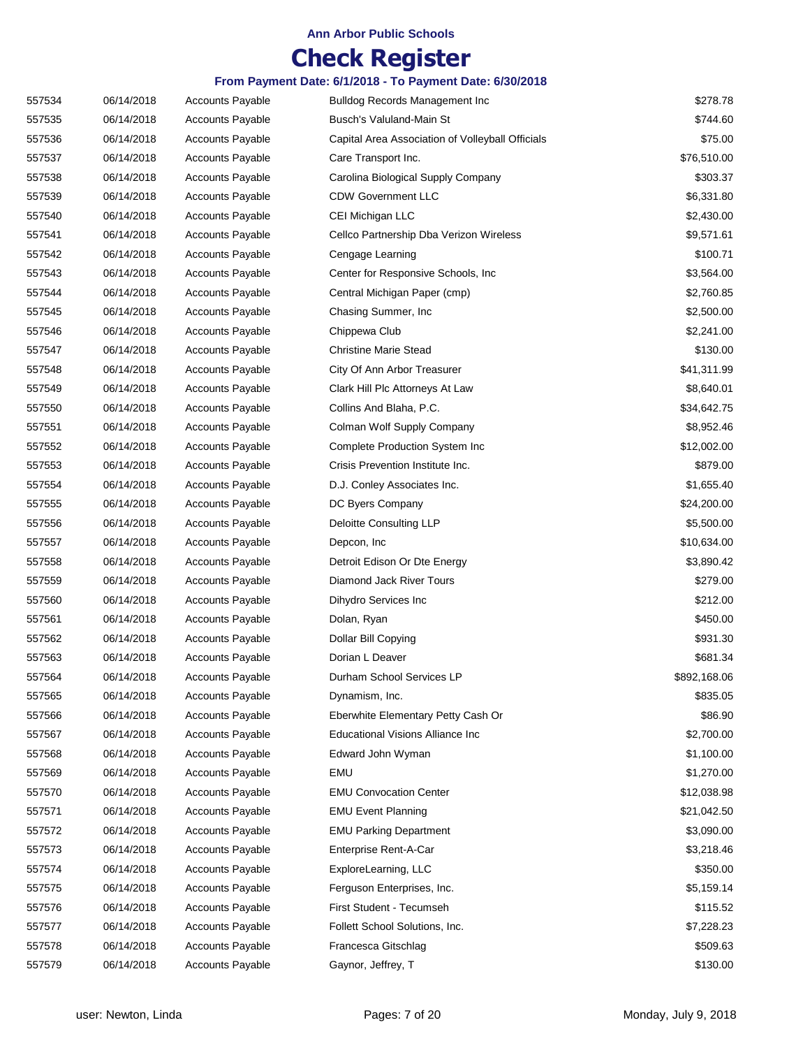## **Check Register**

| 557534 | 06/14/2018 | Accounts Payable        | <b>Bulldog Records Management Inc</b>            | \$278.78     |
|--------|------------|-------------------------|--------------------------------------------------|--------------|
| 557535 | 06/14/2018 | <b>Accounts Payable</b> | Busch's Valuland-Main St                         | \$744.60     |
| 557536 | 06/14/2018 | <b>Accounts Payable</b> | Capital Area Association of Volleyball Officials | \$75.00      |
| 557537 | 06/14/2018 | <b>Accounts Payable</b> | Care Transport Inc.                              | \$76,510.00  |
| 557538 | 06/14/2018 | <b>Accounts Payable</b> | Carolina Biological Supply Company               | \$303.37     |
| 557539 | 06/14/2018 | <b>Accounts Payable</b> | <b>CDW Government LLC</b>                        | \$6,331.80   |
| 557540 | 06/14/2018 | <b>Accounts Payable</b> | CEI Michigan LLC                                 | \$2,430.00   |
| 557541 | 06/14/2018 | <b>Accounts Payable</b> | Cellco Partnership Dba Verizon Wireless          | \$9,571.61   |
| 557542 | 06/14/2018 | <b>Accounts Payable</b> | Cengage Learning                                 | \$100.71     |
| 557543 | 06/14/2018 | <b>Accounts Payable</b> | Center for Responsive Schools, Inc.              | \$3,564.00   |
| 557544 | 06/14/2018 | <b>Accounts Payable</b> | Central Michigan Paper (cmp)                     | \$2,760.85   |
| 557545 | 06/14/2018 | <b>Accounts Payable</b> | Chasing Summer, Inc.                             | \$2,500.00   |
| 557546 | 06/14/2018 | <b>Accounts Payable</b> | Chippewa Club                                    | \$2,241.00   |
| 557547 | 06/14/2018 | <b>Accounts Payable</b> | <b>Christine Marie Stead</b>                     | \$130.00     |
| 557548 | 06/14/2018 | <b>Accounts Payable</b> | City Of Ann Arbor Treasurer                      | \$41,311.99  |
| 557549 | 06/14/2018 | <b>Accounts Payable</b> | Clark Hill Plc Attorneys At Law                  | \$8,640.01   |
| 557550 | 06/14/2018 | <b>Accounts Payable</b> | Collins And Blaha, P.C.                          | \$34,642.75  |
| 557551 | 06/14/2018 | <b>Accounts Payable</b> | Colman Wolf Supply Company                       | \$8,952.46   |
| 557552 | 06/14/2018 | <b>Accounts Payable</b> | <b>Complete Production System Inc</b>            | \$12,002.00  |
| 557553 | 06/14/2018 | <b>Accounts Payable</b> | Crisis Prevention Institute Inc.                 | \$879.00     |
| 557554 | 06/14/2018 | <b>Accounts Payable</b> | D.J. Conley Associates Inc.                      | \$1,655.40   |
| 557555 | 06/14/2018 | <b>Accounts Payable</b> | DC Byers Company                                 | \$24,200.00  |
| 557556 | 06/14/2018 | <b>Accounts Payable</b> | Deloitte Consulting LLP                          | \$5,500.00   |
| 557557 | 06/14/2018 | <b>Accounts Payable</b> | Depcon, Inc.                                     | \$10,634.00  |
| 557558 | 06/14/2018 | <b>Accounts Payable</b> | Detroit Edison Or Dte Energy                     | \$3,890.42   |
| 557559 | 06/14/2018 | <b>Accounts Payable</b> | Diamond Jack River Tours                         | \$279.00     |
| 557560 | 06/14/2018 | <b>Accounts Payable</b> | Dihydro Services Inc                             | \$212.00     |
| 557561 | 06/14/2018 | <b>Accounts Payable</b> | Dolan, Ryan                                      | \$450.00     |
| 557562 | 06/14/2018 | <b>Accounts Payable</b> | Dollar Bill Copying                              | \$931.30     |
| 557563 | 06/14/2018 | <b>Accounts Payable</b> | Dorian L Deaver                                  | \$681.34     |
| 557564 | 06/14/2018 | <b>Accounts Payable</b> | Durham School Services LP                        | \$892,168.06 |
| 557565 | 06/14/2018 | <b>Accounts Payable</b> | Dynamism, Inc.                                   | \$835.05     |
| 557566 | 06/14/2018 | <b>Accounts Payable</b> | Eberwhite Elementary Petty Cash Or               | \$86.90      |
| 557567 | 06/14/2018 | <b>Accounts Payable</b> | <b>Educational Visions Alliance Inc</b>          | \$2,700.00   |
| 557568 | 06/14/2018 | <b>Accounts Payable</b> | Edward John Wyman                                | \$1,100.00   |
| 557569 | 06/14/2018 | <b>Accounts Payable</b> | EMU                                              | \$1,270.00   |
| 557570 | 06/14/2018 | <b>Accounts Payable</b> | <b>EMU Convocation Center</b>                    | \$12,038.98  |
| 557571 | 06/14/2018 | <b>Accounts Payable</b> | <b>EMU Event Planning</b>                        | \$21,042.50  |
| 557572 | 06/14/2018 | <b>Accounts Payable</b> | <b>EMU Parking Department</b>                    | \$3,090.00   |
| 557573 | 06/14/2018 | <b>Accounts Payable</b> | Enterprise Rent-A-Car                            | \$3,218.46   |
| 557574 | 06/14/2018 | <b>Accounts Payable</b> | ExploreLearning, LLC                             | \$350.00     |
| 557575 | 06/14/2018 | <b>Accounts Payable</b> | Ferguson Enterprises, Inc.                       | \$5,159.14   |
| 557576 | 06/14/2018 | <b>Accounts Payable</b> | First Student - Tecumseh                         | \$115.52     |
| 557577 | 06/14/2018 | <b>Accounts Payable</b> | Follett School Solutions, Inc.                   | \$7,228.23   |
| 557578 | 06/14/2018 | <b>Accounts Payable</b> | Francesca Gitschlag                              | \$509.63     |
| 557579 | 06/14/2018 | <b>Accounts Payable</b> | Gaynor, Jeffrey, T                               | \$130.00     |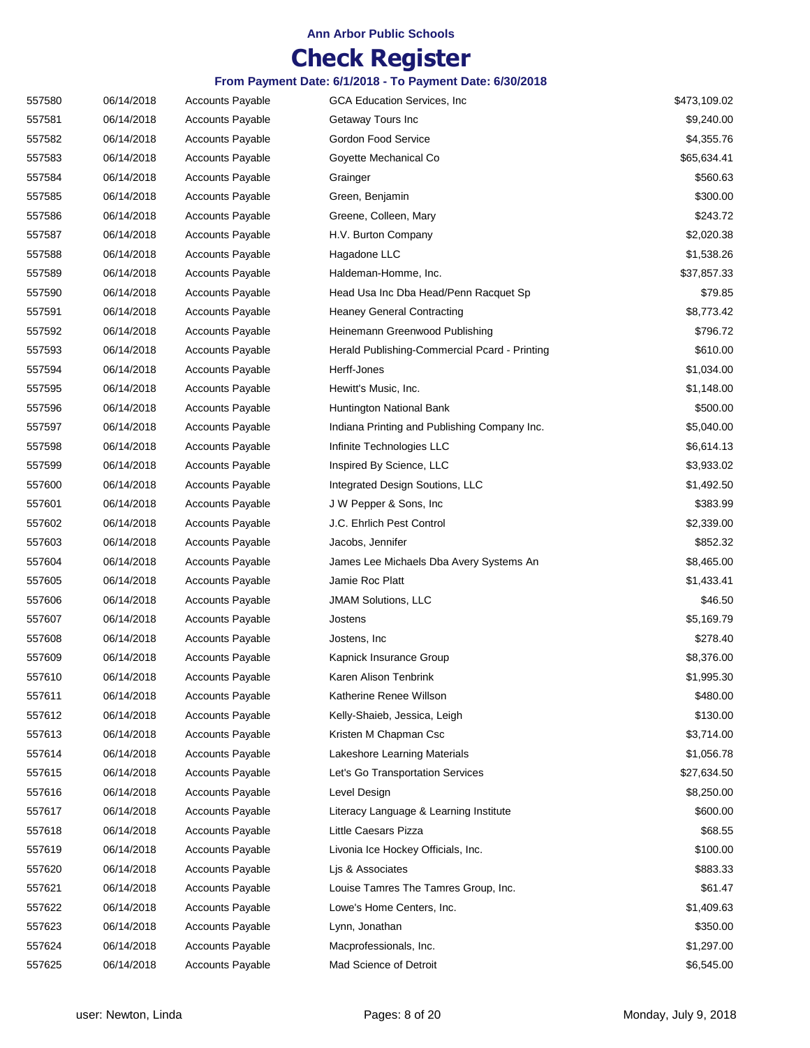## **Check Register**

| 557580 | 06/14/2018 | <b>Accounts Payable</b> | <b>GCA Education Services, Inc.</b>           | \$473,109.02 |
|--------|------------|-------------------------|-----------------------------------------------|--------------|
| 557581 | 06/14/2018 | <b>Accounts Payable</b> | Getaway Tours Inc                             | \$9,240.00   |
| 557582 | 06/14/2018 | <b>Accounts Payable</b> | Gordon Food Service                           | \$4,355.76   |
| 557583 | 06/14/2018 | <b>Accounts Payable</b> | Goyette Mechanical Co                         | \$65,634.41  |
| 557584 | 06/14/2018 | <b>Accounts Payable</b> | Grainger                                      | \$560.63     |
| 557585 | 06/14/2018 | <b>Accounts Payable</b> | Green, Benjamin                               | \$300.00     |
| 557586 | 06/14/2018 | <b>Accounts Payable</b> | Greene, Colleen, Mary                         | \$243.72     |
| 557587 | 06/14/2018 | <b>Accounts Payable</b> | H.V. Burton Company                           | \$2,020.38   |
| 557588 | 06/14/2018 | <b>Accounts Payable</b> | Hagadone LLC                                  | \$1,538.26   |
| 557589 | 06/14/2018 | <b>Accounts Payable</b> | Haldeman-Homme, Inc.                          | \$37,857.33  |
| 557590 | 06/14/2018 | <b>Accounts Payable</b> | Head Usa Inc Dba Head/Penn Racquet Sp         | \$79.85      |
| 557591 | 06/14/2018 | Accounts Payable        | <b>Heaney General Contracting</b>             | \$8,773.42   |
| 557592 | 06/14/2018 | <b>Accounts Payable</b> | Heinemann Greenwood Publishing                | \$796.72     |
| 557593 | 06/14/2018 | <b>Accounts Payable</b> | Herald Publishing-Commercial Pcard - Printing | \$610.00     |
| 557594 | 06/14/2018 | <b>Accounts Payable</b> | Herff-Jones                                   | \$1,034.00   |
| 557595 | 06/14/2018 | <b>Accounts Payable</b> | Hewitt's Music, Inc.                          | \$1,148.00   |
| 557596 | 06/14/2018 | <b>Accounts Payable</b> | Huntington National Bank                      | \$500.00     |
| 557597 | 06/14/2018 | <b>Accounts Payable</b> | Indiana Printing and Publishing Company Inc.  | \$5,040.00   |
| 557598 | 06/14/2018 | <b>Accounts Payable</b> | Infinite Technologies LLC                     | \$6,614.13   |
| 557599 | 06/14/2018 | <b>Accounts Payable</b> | Inspired By Science, LLC                      | \$3,933.02   |
| 557600 | 06/14/2018 | <b>Accounts Payable</b> | Integrated Design Soutions, LLC               | \$1,492.50   |
| 557601 | 06/14/2018 | <b>Accounts Payable</b> | J W Pepper & Sons, Inc.                       | \$383.99     |
| 557602 | 06/14/2018 | <b>Accounts Payable</b> | J.C. Ehrlich Pest Control                     | \$2,339.00   |
| 557603 | 06/14/2018 | <b>Accounts Payable</b> | Jacobs, Jennifer                              | \$852.32     |
| 557604 | 06/14/2018 | <b>Accounts Payable</b> | James Lee Michaels Dba Avery Systems An       | \$8,465.00   |
| 557605 | 06/14/2018 | <b>Accounts Payable</b> | Jamie Roc Platt                               | \$1,433.41   |
| 557606 | 06/14/2018 | <b>Accounts Payable</b> | <b>JMAM Solutions, LLC</b>                    | \$46.50      |
| 557607 | 06/14/2018 | <b>Accounts Payable</b> | Jostens                                       | \$5,169.79   |
| 557608 | 06/14/2018 | <b>Accounts Payable</b> | Jostens, Inc.                                 | \$278.40     |
| 557609 | 06/14/2018 | <b>Accounts Payable</b> | Kapnick Insurance Group                       | \$8,376.00   |
| 557610 | 06/14/2018 | Accounts Payable        | Karen Alison Tenbrink                         | \$1,995.30   |
| 557611 | 06/14/2018 | <b>Accounts Payable</b> | Katherine Renee Willson                       | \$480.00     |
| 557612 | 06/14/2018 | <b>Accounts Payable</b> | Kelly-Shaieb, Jessica, Leigh                  | \$130.00     |
| 557613 | 06/14/2018 | <b>Accounts Payable</b> | Kristen M Chapman Csc                         | \$3,714.00   |
| 557614 | 06/14/2018 | <b>Accounts Payable</b> | Lakeshore Learning Materials                  | \$1,056.78   |
| 557615 | 06/14/2018 | <b>Accounts Payable</b> | Let's Go Transportation Services              | \$27,634.50  |
| 557616 | 06/14/2018 | <b>Accounts Payable</b> | Level Design                                  | \$8,250.00   |
| 557617 | 06/14/2018 | <b>Accounts Payable</b> | Literacy Language & Learning Institute        | \$600.00     |
| 557618 | 06/14/2018 | <b>Accounts Payable</b> | Little Caesars Pizza                          | \$68.55      |
| 557619 | 06/14/2018 | <b>Accounts Payable</b> | Livonia Ice Hockey Officials, Inc.            | \$100.00     |
| 557620 | 06/14/2018 | <b>Accounts Payable</b> | Lis & Associates                              | \$883.33     |
| 557621 | 06/14/2018 | <b>Accounts Payable</b> | Louise Tamres The Tamres Group, Inc.          | \$61.47      |
| 557622 | 06/14/2018 | <b>Accounts Payable</b> | Lowe's Home Centers, Inc.                     | \$1,409.63   |
| 557623 | 06/14/2018 | <b>Accounts Payable</b> | Lynn, Jonathan                                | \$350.00     |
| 557624 | 06/14/2018 | Accounts Payable        | Macprofessionals, Inc.                        | \$1,297.00   |
| 557625 | 06/14/2018 | <b>Accounts Payable</b> | Mad Science of Detroit                        | \$6,545.00   |
|        |            |                         |                                               |              |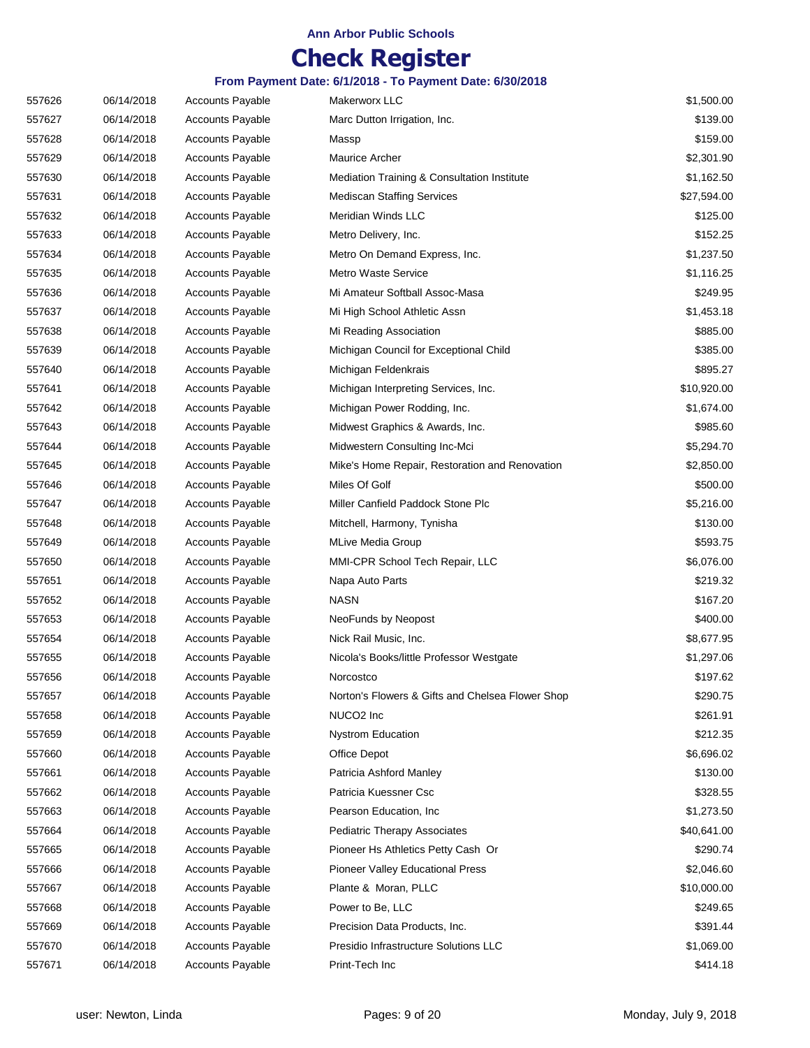## **Check Register**

| 557626 | 06/14/2018 | <b>Accounts Payable</b> | Makerworx LLC                                    | \$1,500.00  |
|--------|------------|-------------------------|--------------------------------------------------|-------------|
| 557627 | 06/14/2018 | Accounts Payable        | Marc Dutton Irrigation, Inc.                     | \$139.00    |
| 557628 | 06/14/2018 | <b>Accounts Payable</b> | Massp                                            | \$159.00    |
| 557629 | 06/14/2018 | <b>Accounts Payable</b> | Maurice Archer                                   | \$2,301.90  |
| 557630 | 06/14/2018 | <b>Accounts Payable</b> | Mediation Training & Consultation Institute      | \$1,162.50  |
| 557631 | 06/14/2018 | <b>Accounts Payable</b> | <b>Mediscan Staffing Services</b>                | \$27,594.00 |
| 557632 | 06/14/2018 | <b>Accounts Payable</b> | Meridian Winds LLC                               | \$125.00    |
| 557633 | 06/14/2018 | <b>Accounts Payable</b> | Metro Delivery, Inc.                             | \$152.25    |
| 557634 | 06/14/2018 | <b>Accounts Payable</b> | Metro On Demand Express, Inc.                    | \$1,237.50  |
| 557635 | 06/14/2018 | <b>Accounts Payable</b> | Metro Waste Service                              | \$1,116.25  |
| 557636 | 06/14/2018 | <b>Accounts Payable</b> | Mi Amateur Softball Assoc-Masa                   | \$249.95    |
| 557637 | 06/14/2018 | Accounts Payable        | Mi High School Athletic Assn                     | \$1,453.18  |
| 557638 | 06/14/2018 | <b>Accounts Payable</b> | Mi Reading Association                           | \$885.00    |
| 557639 | 06/14/2018 | <b>Accounts Payable</b> | Michigan Council for Exceptional Child           | \$385.00    |
| 557640 | 06/14/2018 | <b>Accounts Payable</b> | Michigan Feldenkrais                             | \$895.27    |
| 557641 | 06/14/2018 | Accounts Payable        | Michigan Interpreting Services, Inc.             | \$10,920.00 |
| 557642 | 06/14/2018 | <b>Accounts Payable</b> | Michigan Power Rodding, Inc.                     | \$1,674.00  |
| 557643 | 06/14/2018 | <b>Accounts Payable</b> | Midwest Graphics & Awards, Inc.                  | \$985.60    |
| 557644 | 06/14/2018 | <b>Accounts Payable</b> | Midwestern Consulting Inc-Mci                    | \$5,294.70  |
| 557645 | 06/14/2018 | <b>Accounts Payable</b> | Mike's Home Repair, Restoration and Renovation   | \$2,850.00  |
| 557646 | 06/14/2018 | <b>Accounts Payable</b> | Miles Of Golf                                    | \$500.00    |
| 557647 | 06/14/2018 | <b>Accounts Payable</b> | Miller Canfield Paddock Stone Plc                | \$5,216.00  |
| 557648 | 06/14/2018 | <b>Accounts Payable</b> | Mitchell, Harmony, Tynisha                       | \$130.00    |
| 557649 | 06/14/2018 | <b>Accounts Payable</b> | <b>MLive Media Group</b>                         | \$593.75    |
| 557650 | 06/14/2018 | <b>Accounts Payable</b> | MMI-CPR School Tech Repair, LLC                  | \$6,076.00  |
| 557651 | 06/14/2018 | <b>Accounts Payable</b> | Napa Auto Parts                                  | \$219.32    |
| 557652 | 06/14/2018 | <b>Accounts Payable</b> | <b>NASN</b>                                      | \$167.20    |
| 557653 | 06/14/2018 | <b>Accounts Payable</b> | NeoFunds by Neopost                              | \$400.00    |
| 557654 | 06/14/2018 | <b>Accounts Payable</b> | Nick Rail Music, Inc.                            | \$8,677.95  |
| 557655 | 06/14/2018 | <b>Accounts Payable</b> | Nicola's Books/little Professor Westgate         | \$1,297.06  |
| 557656 | 06/14/2018 | <b>Accounts Payable</b> | Norcostco                                        | \$197.62    |
| 557657 | 06/14/2018 | <b>Accounts Payable</b> | Norton's Flowers & Gifts and Chelsea Flower Shop | \$290.75    |
| 557658 | 06/14/2018 | <b>Accounts Payable</b> | NUCO <sub>2</sub> Inc                            | \$261.91    |
| 557659 | 06/14/2018 | Accounts Payable        | <b>Nystrom Education</b>                         | \$212.35    |
| 557660 | 06/14/2018 | <b>Accounts Payable</b> | Office Depot                                     | \$6,696.02  |
| 557661 | 06/14/2018 | <b>Accounts Payable</b> | Patricia Ashford Manley                          | \$130.00    |
| 557662 | 06/14/2018 | <b>Accounts Payable</b> | Patricia Kuessner Csc                            | \$328.55    |
| 557663 | 06/14/2018 | <b>Accounts Payable</b> | Pearson Education, Inc.                          | \$1,273.50  |
| 557664 | 06/14/2018 | <b>Accounts Payable</b> | <b>Pediatric Therapy Associates</b>              | \$40,641.00 |
| 557665 | 06/14/2018 | <b>Accounts Payable</b> | Pioneer Hs Athletics Petty Cash Or               | \$290.74    |
| 557666 | 06/14/2018 | <b>Accounts Payable</b> | Pioneer Valley Educational Press                 | \$2,046.60  |
| 557667 | 06/14/2018 | <b>Accounts Payable</b> | Plante & Moran, PLLC                             | \$10,000.00 |
| 557668 | 06/14/2018 | <b>Accounts Payable</b> | Power to Be, LLC                                 | \$249.65    |
| 557669 | 06/14/2018 | <b>Accounts Payable</b> | Precision Data Products, Inc.                    | \$391.44    |
| 557670 | 06/14/2018 | <b>Accounts Payable</b> | Presidio Infrastructure Solutions LLC            | \$1,069.00  |
| 557671 | 06/14/2018 | <b>Accounts Payable</b> | Print-Tech Inc                                   | \$414.18    |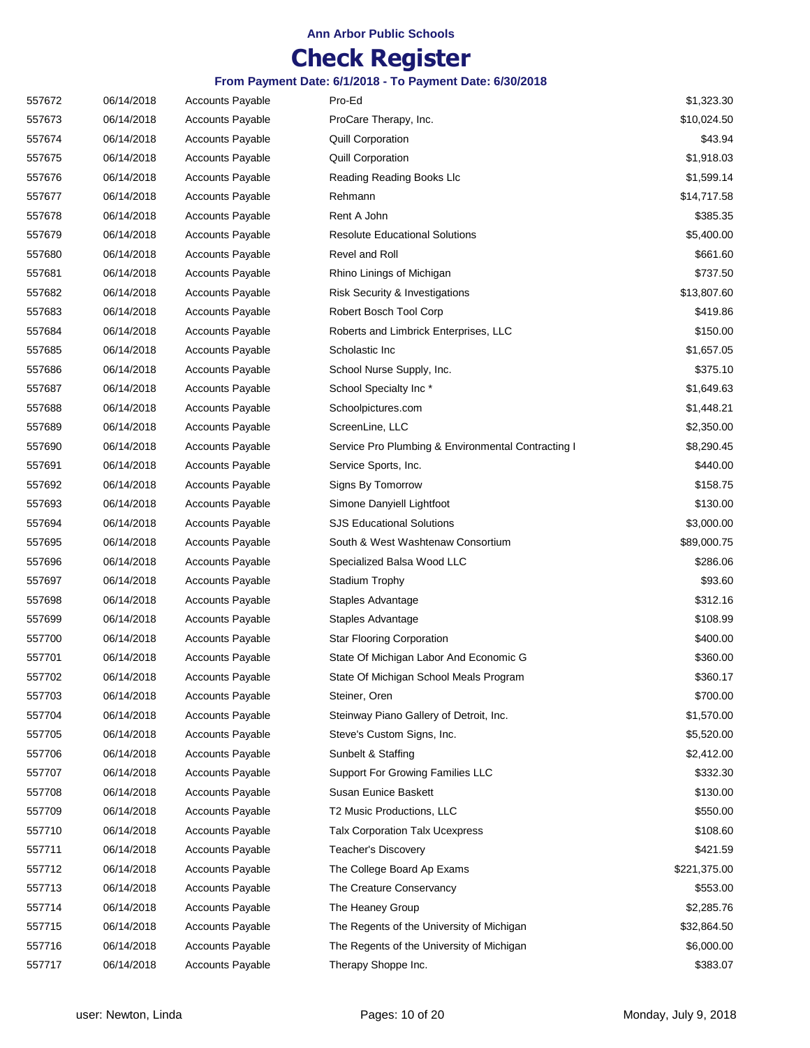## **Check Register**

| 557672 | 06/14/2018 | <b>Accounts Payable</b> | Pro-Ed                                             | \$1,323.30   |
|--------|------------|-------------------------|----------------------------------------------------|--------------|
| 557673 | 06/14/2018 | <b>Accounts Payable</b> | ProCare Therapy, Inc.                              | \$10,024.50  |
| 557674 | 06/14/2018 | <b>Accounts Payable</b> | Quill Corporation                                  | \$43.94      |
| 557675 | 06/14/2018 | <b>Accounts Payable</b> | <b>Quill Corporation</b>                           | \$1,918.03   |
| 557676 | 06/14/2018 | <b>Accounts Payable</b> | Reading Reading Books Llc                          | \$1,599.14   |
| 557677 | 06/14/2018 | <b>Accounts Payable</b> | Rehmann                                            | \$14,717.58  |
| 557678 | 06/14/2018 | <b>Accounts Payable</b> | Rent A John                                        | \$385.35     |
| 557679 | 06/14/2018 | <b>Accounts Payable</b> | <b>Resolute Educational Solutions</b>              | \$5,400.00   |
| 557680 | 06/14/2018 | <b>Accounts Payable</b> | Revel and Roll                                     | \$661.60     |
| 557681 | 06/14/2018 | <b>Accounts Payable</b> | Rhino Linings of Michigan                          | \$737.50     |
| 557682 | 06/14/2018 | <b>Accounts Payable</b> | Risk Security & Investigations                     | \$13,807.60  |
| 557683 | 06/14/2018 | <b>Accounts Payable</b> | Robert Bosch Tool Corp                             | \$419.86     |
| 557684 | 06/14/2018 | <b>Accounts Payable</b> | Roberts and Limbrick Enterprises, LLC              | \$150.00     |
| 557685 | 06/14/2018 | <b>Accounts Payable</b> | Scholastic Inc                                     | \$1,657.05   |
| 557686 | 06/14/2018 | <b>Accounts Payable</b> | School Nurse Supply, Inc.                          | \$375.10     |
| 557687 | 06/14/2018 | <b>Accounts Payable</b> | School Specialty Inc*                              | \$1,649.63   |
| 557688 | 06/14/2018 | <b>Accounts Payable</b> | Schoolpictures.com                                 | \$1,448.21   |
| 557689 | 06/14/2018 | <b>Accounts Payable</b> | ScreenLine, LLC                                    | \$2,350.00   |
| 557690 | 06/14/2018 | <b>Accounts Payable</b> | Service Pro Plumbing & Environmental Contracting I | \$8,290.45   |
| 557691 | 06/14/2018 | <b>Accounts Payable</b> | Service Sports, Inc.                               | \$440.00     |
| 557692 | 06/14/2018 | <b>Accounts Payable</b> | Signs By Tomorrow                                  | \$158.75     |
| 557693 | 06/14/2018 | <b>Accounts Payable</b> | Simone Danyiell Lightfoot                          | \$130.00     |
| 557694 | 06/14/2018 | <b>Accounts Payable</b> | <b>SJS Educational Solutions</b>                   | \$3,000.00   |
| 557695 | 06/14/2018 | <b>Accounts Payable</b> | South & West Washtenaw Consortium                  | \$89,000.75  |
| 557696 | 06/14/2018 | <b>Accounts Payable</b> | Specialized Balsa Wood LLC                         | \$286.06     |
| 557697 | 06/14/2018 | <b>Accounts Payable</b> | Stadium Trophy                                     | \$93.60      |
| 557698 | 06/14/2018 | <b>Accounts Payable</b> | Staples Advantage                                  | \$312.16     |
| 557699 | 06/14/2018 | <b>Accounts Payable</b> | Staples Advantage                                  | \$108.99     |
| 557700 | 06/14/2018 | <b>Accounts Payable</b> | <b>Star Flooring Corporation</b>                   | \$400.00     |
| 557701 | 06/14/2018 | <b>Accounts Payable</b> | State Of Michigan Labor And Economic G             | \$360.00     |
| 557702 | 06/14/2018 | <b>Accounts Payable</b> | State Of Michigan School Meals Program             | \$360.17     |
| 557703 | 06/14/2018 | <b>Accounts Payable</b> | Steiner, Oren                                      | \$700.00     |
| 557704 | 06/14/2018 | <b>Accounts Payable</b> | Steinway Piano Gallery of Detroit, Inc.            | \$1,570.00   |
| 557705 | 06/14/2018 | <b>Accounts Payable</b> | Steve's Custom Signs, Inc.                         | \$5,520.00   |
| 557706 | 06/14/2018 | <b>Accounts Payable</b> | Sunbelt & Staffing                                 | \$2,412.00   |
| 557707 | 06/14/2018 | Accounts Payable        | Support For Growing Families LLC                   | \$332.30     |
| 557708 | 06/14/2018 | <b>Accounts Payable</b> | Susan Eunice Baskett                               | \$130.00     |
| 557709 | 06/14/2018 | <b>Accounts Payable</b> | T2 Music Productions, LLC                          | \$550.00     |
| 557710 | 06/14/2018 | Accounts Payable        | <b>Talx Corporation Talx Ucexpress</b>             | \$108.60     |
| 557711 | 06/14/2018 | <b>Accounts Payable</b> | Teacher's Discovery                                | \$421.59     |
| 557712 | 06/14/2018 | <b>Accounts Payable</b> | The College Board Ap Exams                         | \$221,375.00 |
| 557713 | 06/14/2018 | <b>Accounts Payable</b> | The Creature Conservancy                           | \$553.00     |
| 557714 | 06/14/2018 | <b>Accounts Payable</b> | The Heaney Group                                   | \$2,285.76   |
| 557715 | 06/14/2018 | <b>Accounts Payable</b> | The Regents of the University of Michigan          | \$32,864.50  |
| 557716 | 06/14/2018 | <b>Accounts Payable</b> | The Regents of the University of Michigan          | \$6,000.00   |
| 557717 | 06/14/2018 | <b>Accounts Payable</b> | Therapy Shoppe Inc.                                | \$383.07     |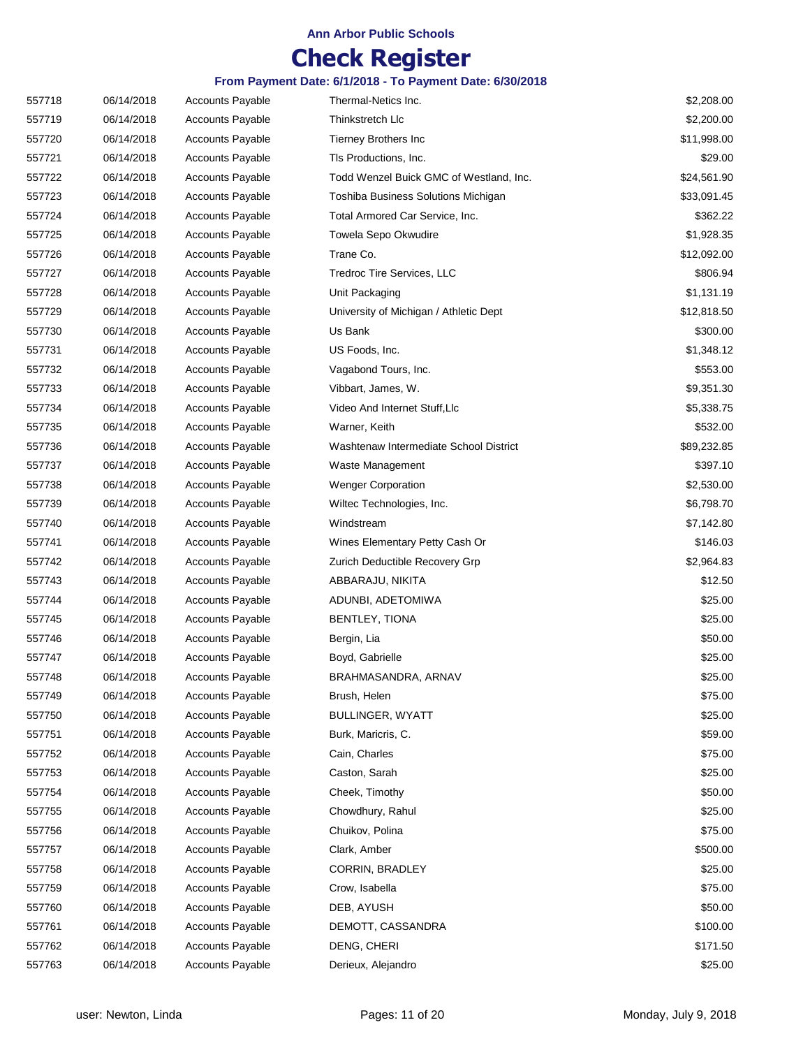## **Check Register**

| 557718 | 06/14/2018 | <b>Accounts Payable</b> | Thermal-Netics Inc.                     | \$2,208.00  |
|--------|------------|-------------------------|-----------------------------------------|-------------|
| 557719 | 06/14/2018 | <b>Accounts Payable</b> | Thinkstretch Llc                        | \$2,200.00  |
| 557720 | 06/14/2018 | <b>Accounts Payable</b> | Tierney Brothers Inc                    | \$11,998.00 |
| 557721 | 06/14/2018 | <b>Accounts Payable</b> | TIs Productions, Inc.                   | \$29.00     |
| 557722 | 06/14/2018 | <b>Accounts Payable</b> | Todd Wenzel Buick GMC of Westland, Inc. | \$24,561.90 |
| 557723 | 06/14/2018 | <b>Accounts Payable</b> | Toshiba Business Solutions Michigan     | \$33,091.45 |
| 557724 | 06/14/2018 | <b>Accounts Payable</b> | Total Armored Car Service, Inc.         | \$362.22    |
| 557725 | 06/14/2018 | <b>Accounts Payable</b> | Towela Sepo Okwudire                    | \$1,928.35  |
| 557726 | 06/14/2018 | <b>Accounts Payable</b> | Trane Co.                               | \$12,092.00 |
| 557727 | 06/14/2018 | <b>Accounts Payable</b> | Tredroc Tire Services, LLC              | \$806.94    |
| 557728 | 06/14/2018 | <b>Accounts Payable</b> | Unit Packaging                          | \$1,131.19  |
| 557729 | 06/14/2018 | <b>Accounts Payable</b> | University of Michigan / Athletic Dept  | \$12,818.50 |
| 557730 | 06/14/2018 | <b>Accounts Payable</b> | Us Bank                                 | \$300.00    |
| 557731 | 06/14/2018 | <b>Accounts Payable</b> | US Foods, Inc.                          | \$1,348.12  |
| 557732 | 06/14/2018 | <b>Accounts Payable</b> | Vagabond Tours, Inc.                    | \$553.00    |
| 557733 | 06/14/2018 | <b>Accounts Payable</b> | Vibbart, James, W.                      | \$9,351.30  |
| 557734 | 06/14/2018 | <b>Accounts Payable</b> | Video And Internet Stuff, LIc           | \$5,338.75  |
| 557735 | 06/14/2018 | <b>Accounts Payable</b> | Warner, Keith                           | \$532.00    |
| 557736 | 06/14/2018 | <b>Accounts Payable</b> | Washtenaw Intermediate School District  | \$89,232.85 |
| 557737 | 06/14/2018 | <b>Accounts Payable</b> | Waste Management                        | \$397.10    |
| 557738 | 06/14/2018 | <b>Accounts Payable</b> | <b>Wenger Corporation</b>               | \$2,530.00  |
| 557739 | 06/14/2018 | <b>Accounts Payable</b> | Wiltec Technologies, Inc.               | \$6,798.70  |
| 557740 | 06/14/2018 | <b>Accounts Payable</b> | Windstream                              | \$7,142.80  |
| 557741 | 06/14/2018 | <b>Accounts Payable</b> | Wines Elementary Petty Cash Or          | \$146.03    |
| 557742 | 06/14/2018 | <b>Accounts Payable</b> | Zurich Deductible Recovery Grp          | \$2,964.83  |
| 557743 | 06/14/2018 | <b>Accounts Payable</b> | ABBARAJU, NIKITA                        | \$12.50     |
| 557744 | 06/14/2018 | <b>Accounts Payable</b> | ADUNBI, ADETOMIWA                       | \$25.00     |
| 557745 | 06/14/2018 | <b>Accounts Payable</b> | BENTLEY, TIONA                          | \$25.00     |
| 557746 | 06/14/2018 | <b>Accounts Payable</b> | Bergin, Lia                             | \$50.00     |
| 557747 | 06/14/2018 | <b>Accounts Payable</b> | Boyd, Gabrielle                         | \$25.00     |
| 557748 | 06/14/2018 | <b>Accounts Payable</b> | BRAHMASANDRA, ARNAV                     | \$25.00     |
| 557749 | 06/14/2018 | <b>Accounts Payable</b> | Brush, Helen                            | \$75.00     |
| 557750 | 06/14/2018 | <b>Accounts Payable</b> | <b>BULLINGER, WYATT</b>                 | \$25.00     |
| 557751 | 06/14/2018 | <b>Accounts Payable</b> | Burk, Maricris, C.                      | \$59.00     |
| 557752 | 06/14/2018 | Accounts Payable        | Cain, Charles                           | \$75.00     |
| 557753 | 06/14/2018 | <b>Accounts Payable</b> | Caston, Sarah                           | \$25.00     |
| 557754 | 06/14/2018 | <b>Accounts Payable</b> | Cheek, Timothy                          | \$50.00     |
| 557755 | 06/14/2018 | Accounts Payable        | Chowdhury, Rahul                        | \$25.00     |
| 557756 | 06/14/2018 | <b>Accounts Payable</b> | Chuikov, Polina                         | \$75.00     |
| 557757 | 06/14/2018 | <b>Accounts Payable</b> | Clark, Amber                            | \$500.00    |
| 557758 | 06/14/2018 | <b>Accounts Payable</b> | <b>CORRIN, BRADLEY</b>                  | \$25.00     |
| 557759 | 06/14/2018 | <b>Accounts Payable</b> | Crow, Isabella                          | \$75.00     |
| 557760 | 06/14/2018 | <b>Accounts Payable</b> | DEB, AYUSH                              | \$50.00     |
| 557761 | 06/14/2018 | <b>Accounts Payable</b> | DEMOTT, CASSANDRA                       | \$100.00    |
| 557762 | 06/14/2018 | <b>Accounts Payable</b> | DENG, CHERI                             | \$171.50    |
| 557763 | 06/14/2018 | <b>Accounts Payable</b> | Derieux, Alejandro                      | \$25.00     |
|        |            |                         |                                         |             |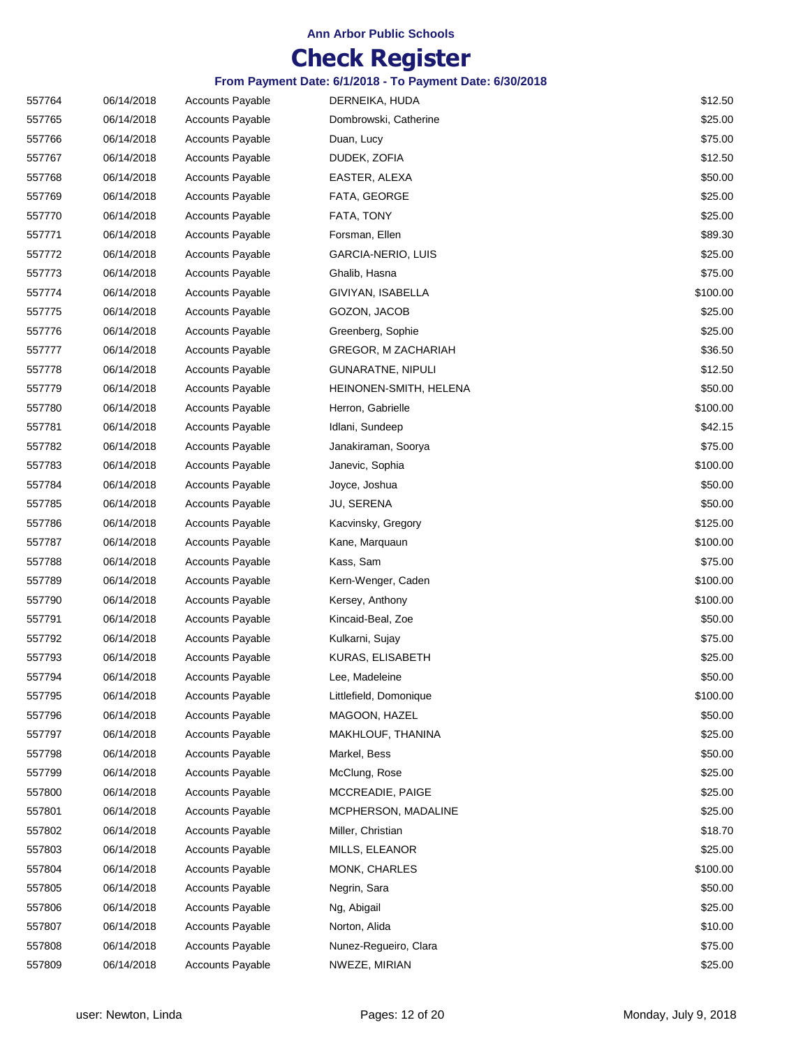## **Check Register**

| 557764 | 06/14/2018 | <b>Accounts Payable</b> | DERNEIKA, HUDA            | \$12.50  |
|--------|------------|-------------------------|---------------------------|----------|
| 557765 | 06/14/2018 | <b>Accounts Payable</b> | Dombrowski, Catherine     | \$25.00  |
| 557766 | 06/14/2018 | <b>Accounts Payable</b> | Duan, Lucy                | \$75.00  |
| 557767 | 06/14/2018 | <b>Accounts Payable</b> | DUDEK, ZOFIA              | \$12.50  |
| 557768 | 06/14/2018 | <b>Accounts Payable</b> | EASTER, ALEXA             | \$50.00  |
| 557769 | 06/14/2018 | <b>Accounts Payable</b> | FATA, GEORGE              | \$25.00  |
| 557770 | 06/14/2018 | <b>Accounts Payable</b> | FATA, TONY                | \$25.00  |
| 557771 | 06/14/2018 | <b>Accounts Payable</b> | Forsman, Ellen            | \$89.30  |
| 557772 | 06/14/2018 | <b>Accounts Payable</b> | <b>GARCIA-NERIO, LUIS</b> | \$25.00  |
| 557773 | 06/14/2018 | <b>Accounts Payable</b> | Ghalib, Hasna             | \$75.00  |
| 557774 | 06/14/2018 | <b>Accounts Payable</b> | GIVIYAN, ISABELLA         | \$100.00 |
| 557775 | 06/14/2018 | <b>Accounts Payable</b> | GOZON, JACOB              | \$25.00  |
| 557776 | 06/14/2018 | <b>Accounts Payable</b> | Greenberg, Sophie         | \$25.00  |
| 557777 | 06/14/2018 | <b>Accounts Payable</b> | GREGOR, M ZACHARIAH       | \$36.50  |
| 557778 | 06/14/2018 | <b>Accounts Payable</b> | <b>GUNARATNE, NIPULI</b>  | \$12.50  |
| 557779 | 06/14/2018 | <b>Accounts Payable</b> | HEINONEN-SMITH, HELENA    | \$50.00  |
| 557780 | 06/14/2018 | <b>Accounts Payable</b> | Herron, Gabrielle         | \$100.00 |
| 557781 | 06/14/2018 | <b>Accounts Payable</b> | Idlani, Sundeep           | \$42.15  |
| 557782 | 06/14/2018 | <b>Accounts Payable</b> | Janakiraman, Soorya       | \$75.00  |
| 557783 | 06/14/2018 | <b>Accounts Payable</b> | Janevic, Sophia           | \$100.00 |
| 557784 | 06/14/2018 | <b>Accounts Payable</b> | Joyce, Joshua             | \$50.00  |
| 557785 | 06/14/2018 | <b>Accounts Payable</b> | JU, SERENA                | \$50.00  |
| 557786 | 06/14/2018 | <b>Accounts Payable</b> | Kacvinsky, Gregory        | \$125.00 |
| 557787 | 06/14/2018 | <b>Accounts Payable</b> | Kane, Marquaun            | \$100.00 |
| 557788 | 06/14/2018 | <b>Accounts Payable</b> | Kass, Sam                 | \$75.00  |
| 557789 | 06/14/2018 | <b>Accounts Payable</b> | Kern-Wenger, Caden        | \$100.00 |
| 557790 | 06/14/2018 | <b>Accounts Payable</b> | Kersey, Anthony           | \$100.00 |
| 557791 | 06/14/2018 | <b>Accounts Payable</b> | Kincaid-Beal, Zoe         | \$50.00  |
| 557792 | 06/14/2018 | <b>Accounts Payable</b> | Kulkarni, Sujay           | \$75.00  |
| 557793 | 06/14/2018 | <b>Accounts Payable</b> | KURAS, ELISABETH          | \$25.00  |
| 557794 | 06/14/2018 | <b>Accounts Payable</b> | Lee, Madeleine            | \$50.00  |
| 557795 | 06/14/2018 | <b>Accounts Payable</b> | Littlefield, Domonique    | \$100.00 |
| 557796 | 06/14/2018 | <b>Accounts Payable</b> | MAGOON, HAZEL             | \$50.00  |
| 557797 | 06/14/2018 | <b>Accounts Payable</b> | MAKHLOUF, THANINA         | \$25.00  |
| 557798 | 06/14/2018 | <b>Accounts Payable</b> | Markel, Bess              | \$50.00  |
| 557799 | 06/14/2018 | <b>Accounts Payable</b> | McClung, Rose             | \$25.00  |
| 557800 | 06/14/2018 | <b>Accounts Payable</b> | MCCREADIE, PAIGE          | \$25.00  |
| 557801 | 06/14/2018 | <b>Accounts Payable</b> | MCPHERSON, MADALINE       | \$25.00  |
| 557802 | 06/14/2018 | <b>Accounts Payable</b> | Miller, Christian         | \$18.70  |
| 557803 | 06/14/2018 | <b>Accounts Payable</b> | MILLS, ELEANOR            | \$25.00  |
| 557804 | 06/14/2018 | <b>Accounts Payable</b> | MONK, CHARLES             | \$100.00 |
| 557805 | 06/14/2018 | <b>Accounts Payable</b> | Negrin, Sara              | \$50.00  |
| 557806 | 06/14/2018 | <b>Accounts Payable</b> | Ng, Abigail               | \$25.00  |
| 557807 | 06/14/2018 | <b>Accounts Payable</b> | Norton, Alida             | \$10.00  |
| 557808 | 06/14/2018 | <b>Accounts Payable</b> | Nunez-Regueiro, Clara     | \$75.00  |
| 557809 | 06/14/2018 | <b>Accounts Payable</b> | NWEZE, MIRIAN             | \$25.00  |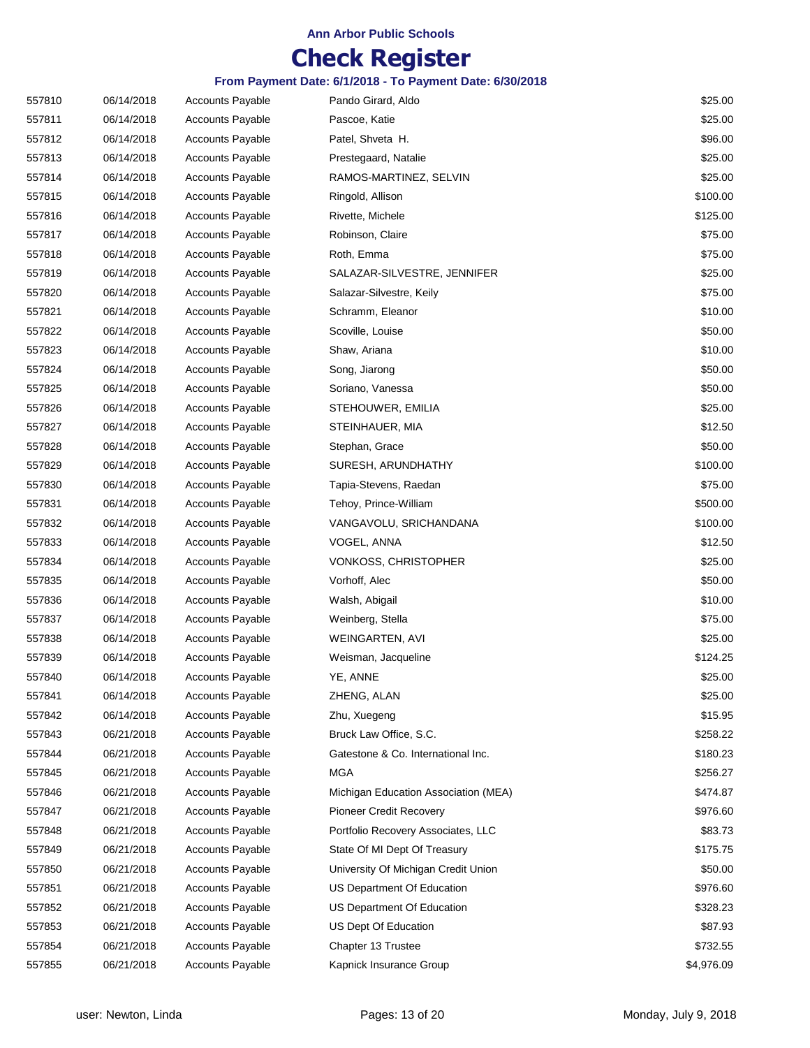## **Check Register**

| 557810 | 06/14/2018 | <b>Accounts Payable</b> | Pando Girard, Aldo                   | \$25.00    |
|--------|------------|-------------------------|--------------------------------------|------------|
| 557811 | 06/14/2018 | <b>Accounts Payable</b> | Pascoe, Katie                        | \$25.00    |
| 557812 | 06/14/2018 | <b>Accounts Payable</b> | Patel, Shveta H.                     | \$96.00    |
| 557813 | 06/14/2018 | <b>Accounts Payable</b> | Prestegaard, Natalie                 | \$25.00    |
| 557814 | 06/14/2018 | <b>Accounts Payable</b> | RAMOS-MARTINEZ, SELVIN               | \$25.00    |
| 557815 | 06/14/2018 | <b>Accounts Payable</b> | Ringold, Allison                     | \$100.00   |
| 557816 | 06/14/2018 | <b>Accounts Payable</b> | Rivette, Michele                     | \$125.00   |
| 557817 | 06/14/2018 | <b>Accounts Payable</b> | Robinson, Claire                     | \$75.00    |
| 557818 | 06/14/2018 | <b>Accounts Payable</b> | Roth, Emma                           | \$75.00    |
| 557819 | 06/14/2018 | <b>Accounts Payable</b> | SALAZAR-SILVESTRE, JENNIFER          | \$25.00    |
| 557820 | 06/14/2018 | <b>Accounts Payable</b> | Salazar-Silvestre, Keily             | \$75.00    |
| 557821 | 06/14/2018 | <b>Accounts Payable</b> | Schramm, Eleanor                     | \$10.00    |
| 557822 | 06/14/2018 | <b>Accounts Payable</b> | Scoville, Louise                     | \$50.00    |
| 557823 | 06/14/2018 | <b>Accounts Payable</b> | Shaw, Ariana                         | \$10.00    |
| 557824 | 06/14/2018 | <b>Accounts Payable</b> | Song, Jiarong                        | \$50.00    |
| 557825 | 06/14/2018 | <b>Accounts Payable</b> | Soriano, Vanessa                     | \$50.00    |
| 557826 | 06/14/2018 | <b>Accounts Payable</b> | STEHOUWER, EMILIA                    | \$25.00    |
| 557827 | 06/14/2018 | <b>Accounts Payable</b> | STEINHAUER, MIA                      | \$12.50    |
| 557828 | 06/14/2018 | <b>Accounts Payable</b> | Stephan, Grace                       | \$50.00    |
| 557829 | 06/14/2018 | <b>Accounts Payable</b> | SURESH, ARUNDHATHY                   | \$100.00   |
| 557830 | 06/14/2018 | <b>Accounts Payable</b> | Tapia-Stevens, Raedan                | \$75.00    |
| 557831 | 06/14/2018 | <b>Accounts Payable</b> | Tehoy, Prince-William                | \$500.00   |
| 557832 | 06/14/2018 | <b>Accounts Payable</b> | VANGAVOLU, SRICHANDANA               | \$100.00   |
| 557833 | 06/14/2018 | <b>Accounts Payable</b> | VOGEL, ANNA                          | \$12.50    |
| 557834 | 06/14/2018 | <b>Accounts Payable</b> | VONKOSS, CHRISTOPHER                 | \$25.00    |
| 557835 | 06/14/2018 | <b>Accounts Payable</b> | Vorhoff, Alec                        | \$50.00    |
| 557836 | 06/14/2018 | <b>Accounts Payable</b> | Walsh, Abigail                       | \$10.00    |
| 557837 | 06/14/2018 | <b>Accounts Payable</b> | Weinberg, Stella                     | \$75.00    |
| 557838 | 06/14/2018 | <b>Accounts Payable</b> | WEINGARTEN, AVI                      | \$25.00    |
| 557839 | 06/14/2018 | <b>Accounts Payable</b> | Weisman, Jacqueline                  | \$124.25   |
| 557840 | 06/14/2018 | <b>Accounts Payable</b> | YE, ANNE                             | \$25.00    |
| 557841 | 06/14/2018 | <b>Accounts Payable</b> | ZHENG, ALAN                          | \$25.00    |
| 557842 | 06/14/2018 | <b>Accounts Payable</b> | Zhu, Xuegeng                         | \$15.95    |
| 557843 | 06/21/2018 | <b>Accounts Payable</b> | Bruck Law Office, S.C.               | \$258.22   |
| 557844 | 06/21/2018 | <b>Accounts Payable</b> | Gatestone & Co. International Inc.   | \$180.23   |
| 557845 | 06/21/2018 | <b>Accounts Payable</b> | <b>MGA</b>                           | \$256.27   |
| 557846 | 06/21/2018 | <b>Accounts Payable</b> | Michigan Education Association (MEA) | \$474.87   |
| 557847 | 06/21/2018 | <b>Accounts Payable</b> | Pioneer Credit Recovery              | \$976.60   |
| 557848 | 06/21/2018 | <b>Accounts Payable</b> | Portfolio Recovery Associates, LLC   | \$83.73    |
| 557849 | 06/21/2018 | <b>Accounts Payable</b> | State Of MI Dept Of Treasury         | \$175.75   |
| 557850 | 06/21/2018 | <b>Accounts Payable</b> | University Of Michigan Credit Union  | \$50.00    |
| 557851 | 06/21/2018 | <b>Accounts Payable</b> | US Department Of Education           | \$976.60   |
| 557852 | 06/21/2018 | <b>Accounts Payable</b> | US Department Of Education           | \$328.23   |
| 557853 | 06/21/2018 | <b>Accounts Payable</b> | US Dept Of Education                 | \$87.93    |
| 557854 | 06/21/2018 | <b>Accounts Payable</b> | Chapter 13 Trustee                   | \$732.55   |
| 557855 | 06/21/2018 | <b>Accounts Payable</b> | Kapnick Insurance Group              | \$4,976.09 |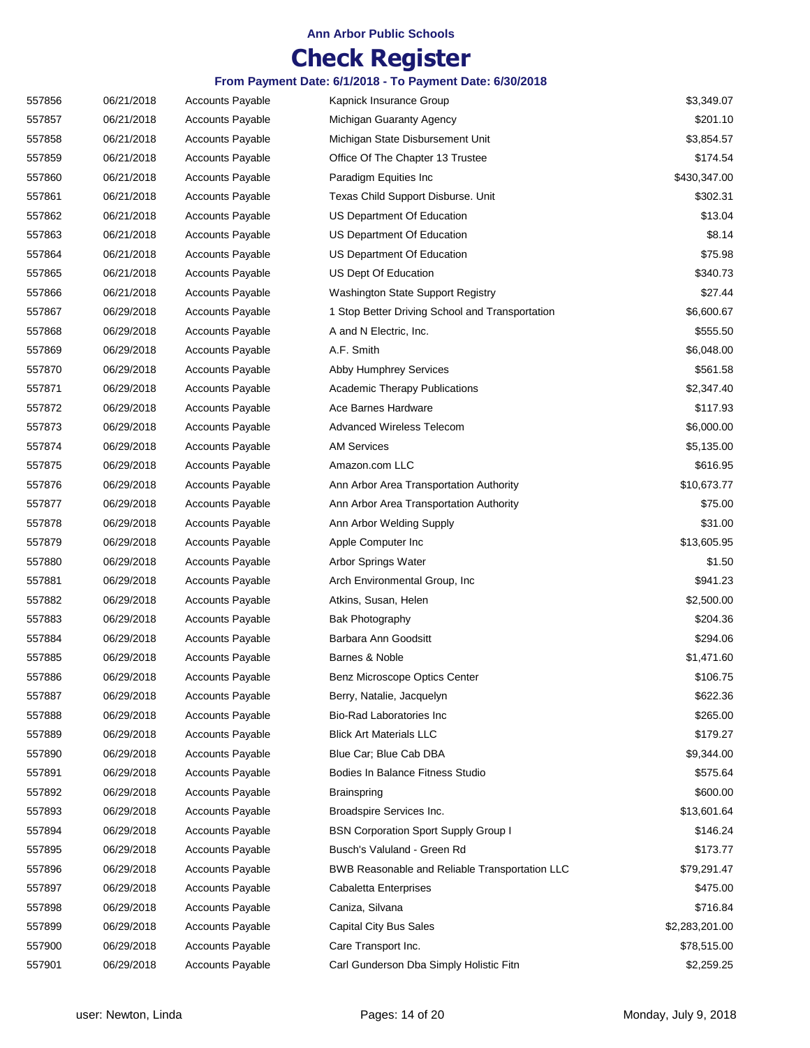## **Check Register**

| 557856 | 06/21/2018 | <b>Accounts Payable</b> | Kapnick Insurance Group                         | \$3,349.07     |
|--------|------------|-------------------------|-------------------------------------------------|----------------|
| 557857 | 06/21/2018 | <b>Accounts Payable</b> | Michigan Guaranty Agency                        | \$201.10       |
| 557858 | 06/21/2018 | <b>Accounts Payable</b> | Michigan State Disbursement Unit                | \$3,854.57     |
| 557859 | 06/21/2018 | <b>Accounts Payable</b> | Office Of The Chapter 13 Trustee                | \$174.54       |
| 557860 | 06/21/2018 | <b>Accounts Payable</b> | Paradigm Equities Inc                           | \$430,347.00   |
| 557861 | 06/21/2018 | <b>Accounts Payable</b> | Texas Child Support Disburse. Unit              | \$302.31       |
| 557862 | 06/21/2018 | Accounts Payable        | US Department Of Education                      | \$13.04        |
| 557863 | 06/21/2018 | <b>Accounts Payable</b> | US Department Of Education                      | \$8.14         |
| 557864 | 06/21/2018 | <b>Accounts Payable</b> | US Department Of Education                      | \$75.98        |
| 557865 | 06/21/2018 | <b>Accounts Payable</b> | US Dept Of Education                            | \$340.73       |
| 557866 | 06/21/2018 | <b>Accounts Payable</b> | Washington State Support Registry               | \$27.44        |
| 557867 | 06/29/2018 | <b>Accounts Payable</b> | 1 Stop Better Driving School and Transportation | \$6,600.67     |
| 557868 | 06/29/2018 | <b>Accounts Payable</b> | A and N Electric, Inc.                          | \$555.50       |
| 557869 | 06/29/2018 | <b>Accounts Payable</b> | A.F. Smith                                      | \$6,048.00     |
| 557870 | 06/29/2018 | <b>Accounts Payable</b> | Abby Humphrey Services                          | \$561.58       |
| 557871 | 06/29/2018 | <b>Accounts Payable</b> | <b>Academic Therapy Publications</b>            | \$2,347.40     |
| 557872 | 06/29/2018 | <b>Accounts Payable</b> | Ace Barnes Hardware                             | \$117.93       |
| 557873 | 06/29/2018 | <b>Accounts Payable</b> | Advanced Wireless Telecom                       | \$6,000.00     |
| 557874 | 06/29/2018 | <b>Accounts Payable</b> | <b>AM Services</b>                              | \$5,135.00     |
| 557875 | 06/29/2018 | <b>Accounts Payable</b> | Amazon.com LLC                                  | \$616.95       |
| 557876 | 06/29/2018 | <b>Accounts Payable</b> | Ann Arbor Area Transportation Authority         | \$10,673.77    |
| 557877 | 06/29/2018 | <b>Accounts Payable</b> | Ann Arbor Area Transportation Authority         | \$75.00        |
| 557878 | 06/29/2018 | <b>Accounts Payable</b> | Ann Arbor Welding Supply                        | \$31.00        |
| 557879 | 06/29/2018 | <b>Accounts Payable</b> | Apple Computer Inc                              | \$13,605.95    |
| 557880 | 06/29/2018 | <b>Accounts Payable</b> | Arbor Springs Water                             | \$1.50         |
| 557881 | 06/29/2018 | Accounts Payable        | Arch Environmental Group, Inc.                  | \$941.23       |
| 557882 | 06/29/2018 | <b>Accounts Payable</b> | Atkins, Susan, Helen                            | \$2,500.00     |
| 557883 | 06/29/2018 | Accounts Payable        | <b>Bak Photography</b>                          | \$204.36       |
| 557884 | 06/29/2018 | <b>Accounts Payable</b> | Barbara Ann Goodsitt                            | \$294.06       |
| 557885 | 06/29/2018 | Accounts Payable        | Barnes & Noble                                  | \$1,471.60     |
| 557886 | 06/29/2018 | <b>Accounts Payable</b> | Benz Microscope Optics Center                   | \$106.75       |
| 557887 | 06/29/2018 | <b>Accounts Payable</b> | Berry, Natalie, Jacquelyn                       | \$622.36       |
| 557888 | 06/29/2018 | <b>Accounts Payable</b> | Bio-Rad Laboratories Inc                        | \$265.00       |
| 557889 | 06/29/2018 | <b>Accounts Payable</b> | <b>Blick Art Materials LLC</b>                  | \$179.27       |
| 557890 | 06/29/2018 | <b>Accounts Payable</b> | Blue Car; Blue Cab DBA                          | \$9,344.00     |
| 557891 | 06/29/2018 | <b>Accounts Payable</b> | Bodies In Balance Fitness Studio                | \$575.64       |
| 557892 | 06/29/2018 | <b>Accounts Payable</b> | <b>Brainspring</b>                              | \$600.00       |
| 557893 | 06/29/2018 | <b>Accounts Payable</b> | Broadspire Services Inc.                        | \$13,601.64    |
| 557894 | 06/29/2018 | <b>Accounts Payable</b> | <b>BSN Corporation Sport Supply Group I</b>     | \$146.24       |
| 557895 | 06/29/2018 | <b>Accounts Payable</b> | Busch's Valuland - Green Rd                     | \$173.77       |
| 557896 | 06/29/2018 | <b>Accounts Payable</b> | BWB Reasonable and Reliable Transportation LLC  | \$79,291.47    |
| 557897 | 06/29/2018 | <b>Accounts Payable</b> | Cabaletta Enterprises                           | \$475.00       |
| 557898 | 06/29/2018 | <b>Accounts Payable</b> | Caniza, Silvana                                 | \$716.84       |
| 557899 | 06/29/2018 | <b>Accounts Payable</b> | Capital City Bus Sales                          | \$2,283,201.00 |
| 557900 | 06/29/2018 | <b>Accounts Payable</b> | Care Transport Inc.                             | \$78,515.00    |
| 557901 | 06/29/2018 | Accounts Payable        | Carl Gunderson Dba Simply Holistic Fitn         | \$2,259.25     |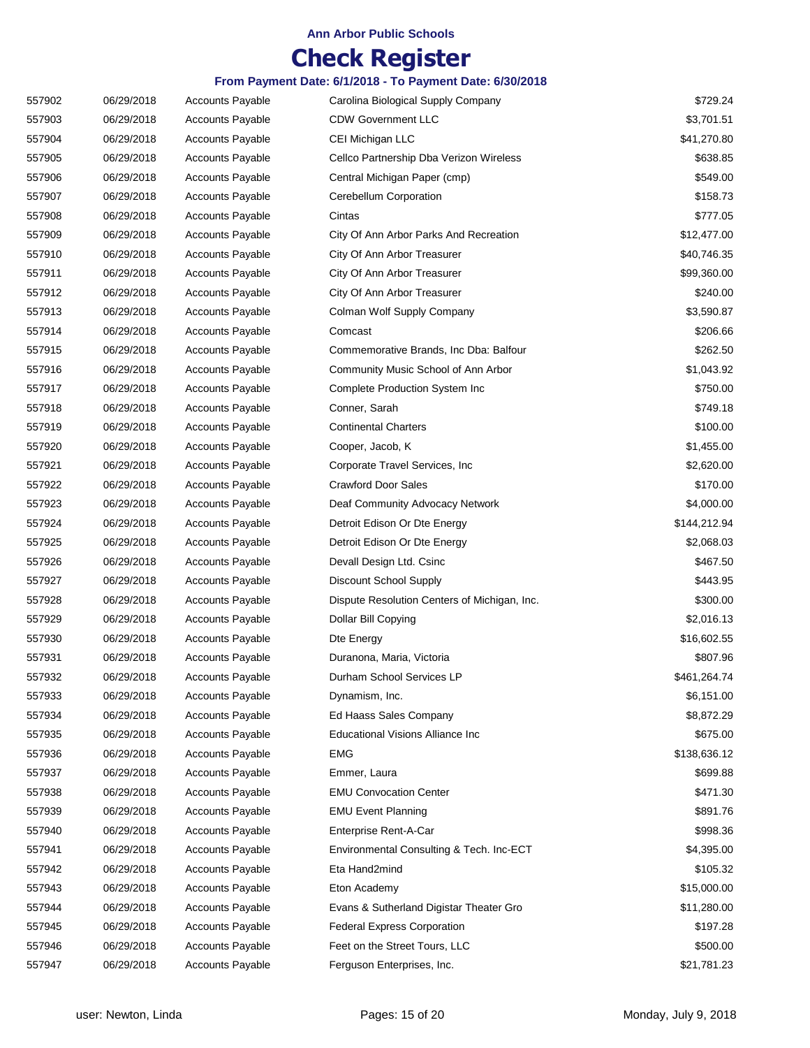# **Check Register**

| 557902 | 06/29/2018 | <b>Accounts Payable</b> | Carolina Biological Supply Company           | \$729.24     |
|--------|------------|-------------------------|----------------------------------------------|--------------|
| 557903 | 06/29/2018 | <b>Accounts Payable</b> | <b>CDW Government LLC</b>                    | \$3,701.51   |
| 557904 | 06/29/2018 | <b>Accounts Payable</b> | CEI Michigan LLC                             | \$41,270.80  |
| 557905 | 06/29/2018 | <b>Accounts Payable</b> | Cellco Partnership Dba Verizon Wireless      | \$638.85     |
| 557906 | 06/29/2018 | <b>Accounts Payable</b> | Central Michigan Paper (cmp)                 | \$549.00     |
| 557907 | 06/29/2018 | <b>Accounts Payable</b> | Cerebellum Corporation                       | \$158.73     |
| 557908 | 06/29/2018 | <b>Accounts Payable</b> | Cintas                                       | \$777.05     |
| 557909 | 06/29/2018 | <b>Accounts Payable</b> | City Of Ann Arbor Parks And Recreation       | \$12,477.00  |
| 557910 | 06/29/2018 | <b>Accounts Payable</b> | City Of Ann Arbor Treasurer                  | \$40,746.35  |
| 557911 | 06/29/2018 | <b>Accounts Payable</b> | City Of Ann Arbor Treasurer                  | \$99,360.00  |
| 557912 | 06/29/2018 | Accounts Payable        | City Of Ann Arbor Treasurer                  | \$240.00     |
| 557913 | 06/29/2018 | <b>Accounts Payable</b> | Colman Wolf Supply Company                   | \$3,590.87   |
| 557914 | 06/29/2018 | <b>Accounts Payable</b> | Comcast                                      | \$206.66     |
| 557915 | 06/29/2018 | <b>Accounts Payable</b> | Commemorative Brands, Inc Dba: Balfour       | \$262.50     |
| 557916 | 06/29/2018 | <b>Accounts Payable</b> | Community Music School of Ann Arbor          | \$1,043.92   |
| 557917 | 06/29/2018 | <b>Accounts Payable</b> | <b>Complete Production System Inc</b>        | \$750.00     |
| 557918 | 06/29/2018 | <b>Accounts Payable</b> | Conner, Sarah                                | \$749.18     |
| 557919 | 06/29/2018 | <b>Accounts Payable</b> | <b>Continental Charters</b>                  | \$100.00     |
| 557920 | 06/29/2018 | <b>Accounts Payable</b> | Cooper, Jacob, K                             | \$1,455.00   |
| 557921 | 06/29/2018 | <b>Accounts Payable</b> | Corporate Travel Services, Inc.              | \$2,620.00   |
| 557922 | 06/29/2018 | <b>Accounts Payable</b> | <b>Crawford Door Sales</b>                   | \$170.00     |
| 557923 | 06/29/2018 | <b>Accounts Payable</b> | Deaf Community Advocacy Network              | \$4,000.00   |
| 557924 | 06/29/2018 | <b>Accounts Payable</b> | Detroit Edison Or Dte Energy                 | \$144,212.94 |
| 557925 | 06/29/2018 | <b>Accounts Payable</b> | Detroit Edison Or Dte Energy                 | \$2,068.03   |
| 557926 | 06/29/2018 | <b>Accounts Payable</b> | Devall Design Ltd. Csinc                     | \$467.50     |
| 557927 | 06/29/2018 | <b>Accounts Payable</b> | Discount School Supply                       | \$443.95     |
| 557928 | 06/29/2018 | <b>Accounts Payable</b> | Dispute Resolution Centers of Michigan, Inc. | \$300.00     |
| 557929 | 06/29/2018 | <b>Accounts Payable</b> | <b>Dollar Bill Copying</b>                   | \$2,016.13   |
| 557930 | 06/29/2018 | <b>Accounts Payable</b> | Dte Energy                                   | \$16,602.55  |
| 557931 | 06/29/2018 | <b>Accounts Payable</b> | Duranona, Maria, Victoria                    | \$807.96     |
| 557932 | 06/29/2018 | <b>Accounts Payable</b> | Durham School Services LP                    | \$461,264.74 |
| 557933 | 06/29/2018 | <b>Accounts Payable</b> | Dynamism, Inc.                               | \$6,151.00   |
| 557934 | 06/29/2018 | <b>Accounts Payable</b> | Ed Haass Sales Company                       | \$8,872.29   |
| 557935 | 06/29/2018 | Accounts Payable        | <b>Educational Visions Alliance Inc</b>      | \$675.00     |
| 557936 | 06/29/2018 | <b>Accounts Payable</b> | <b>EMG</b>                                   | \$138,636.12 |
| 557937 | 06/29/2018 | <b>Accounts Payable</b> | Emmer, Laura                                 | \$699.88     |
| 557938 | 06/29/2018 | Accounts Payable        | <b>EMU Convocation Center</b>                | \$471.30     |
| 557939 | 06/29/2018 | <b>Accounts Payable</b> | <b>EMU Event Planning</b>                    | \$891.76     |
| 557940 | 06/29/2018 | <b>Accounts Payable</b> | Enterprise Rent-A-Car                        | \$998.36     |
| 557941 | 06/29/2018 | <b>Accounts Payable</b> | Environmental Consulting & Tech. Inc-ECT     | \$4,395.00   |
| 557942 | 06/29/2018 | <b>Accounts Payable</b> | Eta Hand2mind                                | \$105.32     |
| 557943 | 06/29/2018 | <b>Accounts Payable</b> | Eton Academy                                 | \$15,000.00  |
| 557944 | 06/29/2018 | <b>Accounts Payable</b> | Evans & Sutherland Digistar Theater Gro      | \$11,280.00  |
| 557945 | 06/29/2018 | <b>Accounts Payable</b> | Federal Express Corporation                  | \$197.28     |
| 557946 | 06/29/2018 | <b>Accounts Payable</b> | Feet on the Street Tours, LLC                | \$500.00     |
| 557947 | 06/29/2018 | <b>Accounts Payable</b> | Ferguson Enterprises, Inc.                   | \$21,781.23  |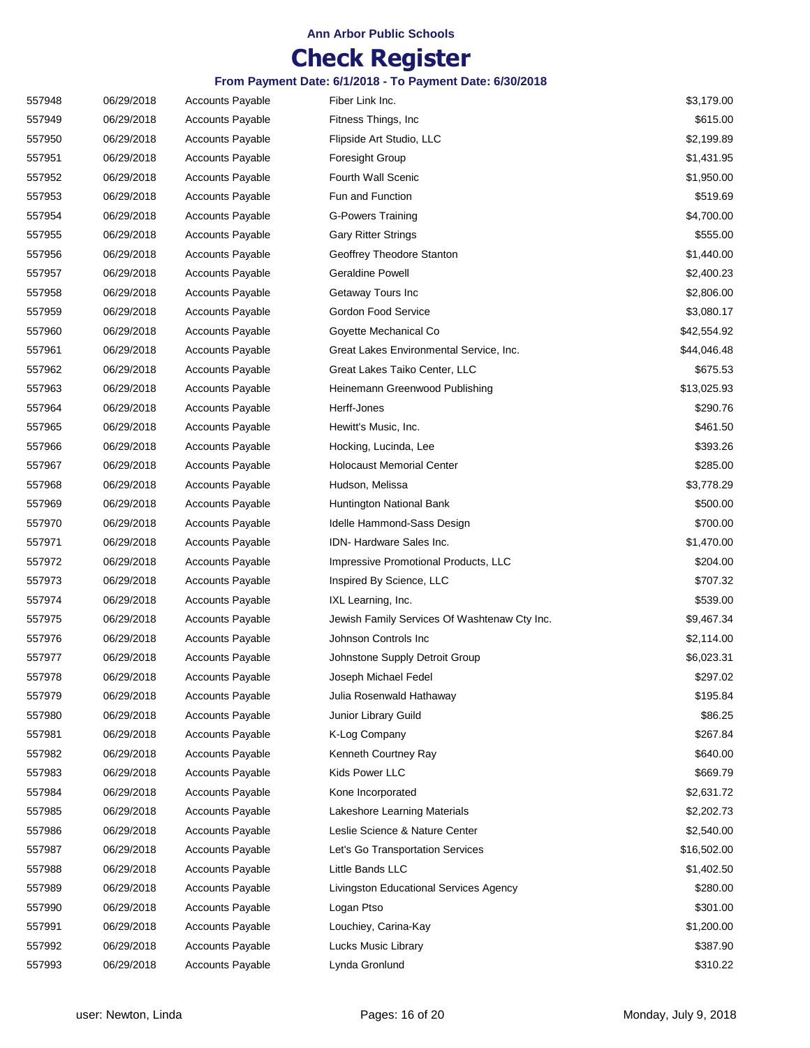## **Check Register**

| 557948 | 06/29/2018 | <b>Accounts Payable</b> | Fiber Link Inc.                              | \$3,179.00  |
|--------|------------|-------------------------|----------------------------------------------|-------------|
| 557949 | 06/29/2018 | <b>Accounts Payable</b> | Fitness Things, Inc.                         | \$615.00    |
| 557950 | 06/29/2018 | <b>Accounts Payable</b> | Flipside Art Studio, LLC                     | \$2,199.89  |
| 557951 | 06/29/2018 | <b>Accounts Payable</b> | <b>Foresight Group</b>                       | \$1,431.95  |
| 557952 | 06/29/2018 | <b>Accounts Payable</b> | Fourth Wall Scenic                           | \$1,950.00  |
| 557953 | 06/29/2018 | <b>Accounts Payable</b> | Fun and Function                             | \$519.69    |
| 557954 | 06/29/2018 | <b>Accounts Payable</b> | <b>G-Powers Training</b>                     | \$4,700.00  |
| 557955 | 06/29/2018 | <b>Accounts Payable</b> | <b>Gary Ritter Strings</b>                   | \$555.00    |
| 557956 | 06/29/2018 | <b>Accounts Payable</b> | Geoffrey Theodore Stanton                    | \$1,440.00  |
| 557957 | 06/29/2018 | <b>Accounts Payable</b> | <b>Geraldine Powell</b>                      | \$2,400.23  |
| 557958 | 06/29/2018 | <b>Accounts Payable</b> | Getaway Tours Inc                            | \$2,806.00  |
| 557959 | 06/29/2018 | <b>Accounts Payable</b> | Gordon Food Service                          | \$3,080.17  |
| 557960 | 06/29/2018 | <b>Accounts Payable</b> | Goyette Mechanical Co                        | \$42,554.92 |
| 557961 | 06/29/2018 | <b>Accounts Payable</b> | Great Lakes Environmental Service, Inc.      | \$44,046.48 |
| 557962 | 06/29/2018 | <b>Accounts Payable</b> | Great Lakes Taiko Center, LLC                | \$675.53    |
| 557963 | 06/29/2018 | <b>Accounts Payable</b> | Heinemann Greenwood Publishing               | \$13,025.93 |
| 557964 | 06/29/2018 | <b>Accounts Payable</b> | Herff-Jones                                  | \$290.76    |
| 557965 | 06/29/2018 | <b>Accounts Payable</b> | Hewitt's Music, Inc.                         | \$461.50    |
| 557966 | 06/29/2018 | <b>Accounts Payable</b> | Hocking, Lucinda, Lee                        | \$393.26    |
| 557967 | 06/29/2018 | <b>Accounts Payable</b> | <b>Holocaust Memorial Center</b>             | \$285.00    |
| 557968 | 06/29/2018 | <b>Accounts Payable</b> | Hudson, Melissa                              | \$3,778.29  |
| 557969 | 06/29/2018 | <b>Accounts Payable</b> | Huntington National Bank                     | \$500.00    |
| 557970 | 06/29/2018 | <b>Accounts Payable</b> | Idelle Hammond-Sass Design                   | \$700.00    |
| 557971 | 06/29/2018 | <b>Accounts Payable</b> | IDN- Hardware Sales Inc.                     | \$1,470.00  |
| 557972 | 06/29/2018 | <b>Accounts Payable</b> | Impressive Promotional Products, LLC         | \$204.00    |
| 557973 | 06/29/2018 | <b>Accounts Payable</b> | Inspired By Science, LLC                     | \$707.32    |
| 557974 | 06/29/2018 | <b>Accounts Payable</b> | IXL Learning, Inc.                           | \$539.00    |
| 557975 | 06/29/2018 | <b>Accounts Payable</b> | Jewish Family Services Of Washtenaw Cty Inc. | \$9,467.34  |
| 557976 | 06/29/2018 | <b>Accounts Payable</b> | Johnson Controls Inc                         | \$2,114.00  |
| 557977 | 06/29/2018 | <b>Accounts Payable</b> | Johnstone Supply Detroit Group               | \$6,023.31  |
| 557978 | 06/29/2018 | <b>Accounts Payable</b> | Joseph Michael Fedel                         | \$297.02    |
| 557979 | 06/29/2018 | <b>Accounts Payable</b> | Julia Rosenwald Hathaway                     | \$195.84    |
| 557980 | 06/29/2018 | <b>Accounts Payable</b> | Junior Library Guild                         | \$86.25     |
| 557981 | 06/29/2018 | <b>Accounts Payable</b> | K-Log Company                                | \$267.84    |
| 557982 | 06/29/2018 | Accounts Payable        | Kenneth Courtney Ray                         | \$640.00    |
| 557983 | 06/29/2018 | <b>Accounts Payable</b> | Kids Power LLC                               | \$669.79    |
| 557984 | 06/29/2018 | <b>Accounts Payable</b> | Kone Incorporated                            | \$2,631.72  |
| 557985 | 06/29/2018 | <b>Accounts Payable</b> | Lakeshore Learning Materials                 | \$2,202.73  |
| 557986 | 06/29/2018 | <b>Accounts Payable</b> | Leslie Science & Nature Center               | \$2,540.00  |
| 557987 | 06/29/2018 | <b>Accounts Payable</b> | Let's Go Transportation Services             | \$16,502.00 |
| 557988 | 06/29/2018 | <b>Accounts Payable</b> | Little Bands LLC                             | \$1,402.50  |
| 557989 | 06/29/2018 | <b>Accounts Payable</b> | Livingston Educational Services Agency       | \$280.00    |
| 557990 | 06/29/2018 | <b>Accounts Payable</b> | Logan Ptso                                   | \$301.00    |
| 557991 | 06/29/2018 | <b>Accounts Payable</b> | Louchiey, Carina-Kay                         | \$1,200.00  |
| 557992 | 06/29/2018 | <b>Accounts Payable</b> | Lucks Music Library                          | \$387.90    |
| 557993 | 06/29/2018 | <b>Accounts Payable</b> | Lynda Gronlund                               | \$310.22    |
|        |            |                         |                                              |             |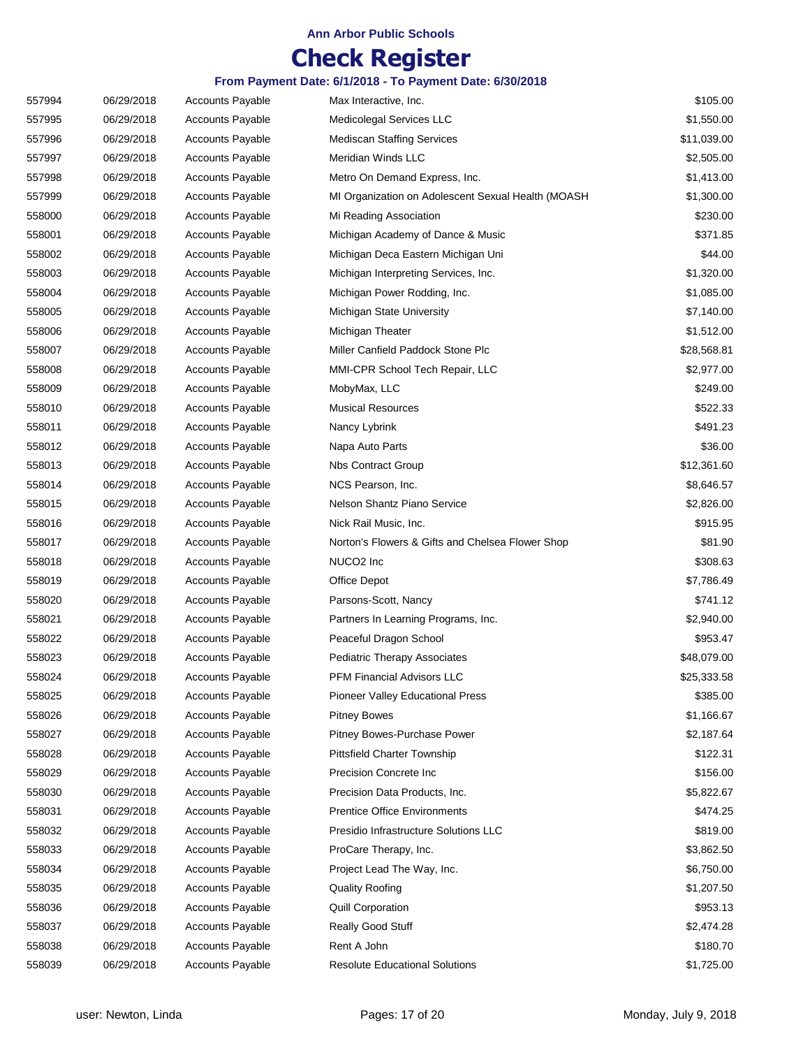## **Check Register**

| 557994 | 06/29/2018 | <b>Accounts Payable</b> | Max Interactive, Inc.                              | \$105.00    |
|--------|------------|-------------------------|----------------------------------------------------|-------------|
| 557995 | 06/29/2018 | <b>Accounts Payable</b> | Medicolegal Services LLC                           | \$1,550.00  |
| 557996 | 06/29/2018 | <b>Accounts Payable</b> | <b>Mediscan Staffing Services</b>                  | \$11,039.00 |
| 557997 | 06/29/2018 | <b>Accounts Payable</b> | Meridian Winds LLC                                 | \$2,505.00  |
| 557998 | 06/29/2018 | <b>Accounts Payable</b> | Metro On Demand Express, Inc.                      | \$1,413.00  |
| 557999 | 06/29/2018 | <b>Accounts Payable</b> | MI Organization on Adolescent Sexual Health (MOASH | \$1,300.00  |
| 558000 | 06/29/2018 | <b>Accounts Payable</b> | Mi Reading Association                             | \$230.00    |
| 558001 | 06/29/2018 | <b>Accounts Payable</b> | Michigan Academy of Dance & Music                  | \$371.85    |
| 558002 | 06/29/2018 | <b>Accounts Payable</b> | Michigan Deca Eastern Michigan Uni                 | \$44.00     |
| 558003 | 06/29/2018 | <b>Accounts Payable</b> | Michigan Interpreting Services, Inc.               | \$1,320.00  |
| 558004 | 06/29/2018 | <b>Accounts Payable</b> | Michigan Power Rodding, Inc.                       | \$1,085.00  |
| 558005 | 06/29/2018 | <b>Accounts Payable</b> | Michigan State University                          | \$7,140.00  |
| 558006 | 06/29/2018 | <b>Accounts Payable</b> | Michigan Theater                                   | \$1,512.00  |
| 558007 | 06/29/2018 | <b>Accounts Payable</b> | Miller Canfield Paddock Stone Plc                  | \$28,568.81 |
| 558008 | 06/29/2018 | <b>Accounts Payable</b> | MMI-CPR School Tech Repair, LLC                    | \$2,977.00  |
| 558009 | 06/29/2018 | <b>Accounts Payable</b> | MobyMax, LLC                                       | \$249.00    |
| 558010 | 06/29/2018 | <b>Accounts Payable</b> | <b>Musical Resources</b>                           | \$522.33    |
| 558011 | 06/29/2018 | <b>Accounts Payable</b> | Nancy Lybrink                                      | \$491.23    |
| 558012 | 06/29/2018 | <b>Accounts Payable</b> | Napa Auto Parts                                    | \$36.00     |
| 558013 | 06/29/2018 | <b>Accounts Payable</b> | <b>Nbs Contract Group</b>                          | \$12,361.60 |
| 558014 | 06/29/2018 | <b>Accounts Payable</b> | NCS Pearson, Inc.                                  | \$8,646.57  |
| 558015 | 06/29/2018 | <b>Accounts Payable</b> | Nelson Shantz Piano Service                        | \$2,826.00  |
| 558016 | 06/29/2018 | <b>Accounts Payable</b> | Nick Rail Music, Inc.                              | \$915.95    |
| 558017 | 06/29/2018 | <b>Accounts Payable</b> | Norton's Flowers & Gifts and Chelsea Flower Shop   | \$81.90     |
| 558018 | 06/29/2018 | <b>Accounts Payable</b> | NUCO2 Inc                                          | \$308.63    |
| 558019 | 06/29/2018 | <b>Accounts Payable</b> | Office Depot                                       | \$7,786.49  |
| 558020 | 06/29/2018 | <b>Accounts Payable</b> | Parsons-Scott, Nancy                               | \$741.12    |
| 558021 | 06/29/2018 | <b>Accounts Payable</b> | Partners In Learning Programs, Inc.                | \$2,940.00  |
| 558022 | 06/29/2018 | <b>Accounts Payable</b> | Peaceful Dragon School                             | \$953.47    |
| 558023 | 06/29/2018 | <b>Accounts Payable</b> | <b>Pediatric Therapy Associates</b>                | \$48,079.00 |
| 558024 | 06/29/2018 | <b>Accounts Payable</b> | <b>PFM Financial Advisors LLC</b>                  | \$25,333.58 |
| 558025 | 06/29/2018 | <b>Accounts Payable</b> | <b>Pioneer Valley Educational Press</b>            | \$385.00    |
| 558026 | 06/29/2018 | <b>Accounts Payable</b> | <b>Pitney Bowes</b>                                | \$1,166.67  |
| 558027 | 06/29/2018 | <b>Accounts Payable</b> | Pitney Bowes-Purchase Power                        | \$2,187.64  |
| 558028 | 06/29/2018 | <b>Accounts Payable</b> | <b>Pittsfield Charter Township</b>                 | \$122.31    |
| 558029 | 06/29/2018 | <b>Accounts Payable</b> | Precision Concrete Inc                             | \$156.00    |
| 558030 | 06/29/2018 | <b>Accounts Payable</b> | Precision Data Products, Inc.                      | \$5,822.67  |
| 558031 | 06/29/2018 | <b>Accounts Payable</b> | <b>Prentice Office Environments</b>                | \$474.25    |
| 558032 | 06/29/2018 | <b>Accounts Payable</b> | Presidio Infrastructure Solutions LLC              | \$819.00    |
| 558033 | 06/29/2018 | <b>Accounts Payable</b> | ProCare Therapy, Inc.                              | \$3,862.50  |
| 558034 | 06/29/2018 | <b>Accounts Payable</b> | Project Lead The Way, Inc.                         | \$6,750.00  |
| 558035 | 06/29/2018 | <b>Accounts Payable</b> | <b>Quality Roofing</b>                             | \$1,207.50  |
| 558036 | 06/29/2018 | <b>Accounts Payable</b> | <b>Quill Corporation</b>                           | \$953.13    |
| 558037 | 06/29/2018 | <b>Accounts Payable</b> | Really Good Stuff                                  | \$2,474.28  |
| 558038 | 06/29/2018 | <b>Accounts Payable</b> | Rent A John                                        | \$180.70    |
| 558039 | 06/29/2018 | <b>Accounts Payable</b> | <b>Resolute Educational Solutions</b>              | \$1,725.00  |
|        |            |                         |                                                    |             |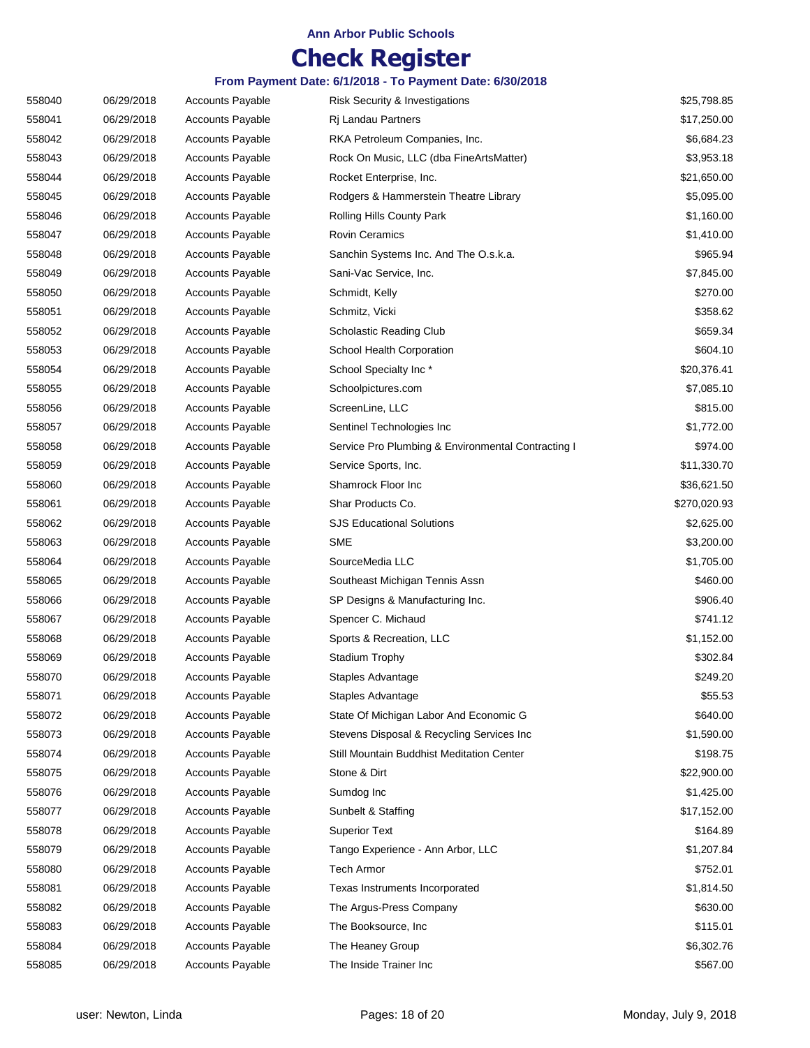## **Check Register**

| 558040 | 06/29/2018 | <b>Accounts Payable</b> | Risk Security & Investigations                     | \$25,798.85  |
|--------|------------|-------------------------|----------------------------------------------------|--------------|
| 558041 | 06/29/2018 | <b>Accounts Payable</b> | Ri Landau Partners                                 | \$17,250.00  |
| 558042 | 06/29/2018 | <b>Accounts Payable</b> | RKA Petroleum Companies, Inc.                      | \$6,684.23   |
| 558043 | 06/29/2018 | <b>Accounts Payable</b> | Rock On Music, LLC (dba FineArtsMatter)            | \$3,953.18   |
| 558044 | 06/29/2018 | <b>Accounts Payable</b> | Rocket Enterprise, Inc.                            | \$21,650.00  |
| 558045 | 06/29/2018 | <b>Accounts Payable</b> | Rodgers & Hammerstein Theatre Library              | \$5,095.00   |
| 558046 | 06/29/2018 | <b>Accounts Payable</b> | Rolling Hills County Park                          | \$1,160.00   |
| 558047 | 06/29/2018 | <b>Accounts Payable</b> | <b>Rovin Ceramics</b>                              | \$1,410.00   |
| 558048 | 06/29/2018 | <b>Accounts Payable</b> | Sanchin Systems Inc. And The O.s.k.a.              | \$965.94     |
| 558049 | 06/29/2018 | <b>Accounts Payable</b> | Sani-Vac Service, Inc.                             | \$7,845.00   |
| 558050 | 06/29/2018 | <b>Accounts Payable</b> | Schmidt, Kelly                                     | \$270.00     |
| 558051 | 06/29/2018 | <b>Accounts Payable</b> | Schmitz, Vicki                                     | \$358.62     |
| 558052 | 06/29/2018 | <b>Accounts Payable</b> | Scholastic Reading Club                            | \$659.34     |
| 558053 | 06/29/2018 | <b>Accounts Payable</b> | School Health Corporation                          | \$604.10     |
| 558054 | 06/29/2018 | <b>Accounts Payable</b> | School Specialty Inc*                              | \$20,376.41  |
| 558055 | 06/29/2018 | <b>Accounts Payable</b> | Schoolpictures.com                                 | \$7,085.10   |
| 558056 | 06/29/2018 | <b>Accounts Payable</b> | ScreenLine, LLC                                    | \$815.00     |
| 558057 | 06/29/2018 | <b>Accounts Payable</b> | Sentinel Technologies Inc                          | \$1,772.00   |
| 558058 | 06/29/2018 | <b>Accounts Payable</b> | Service Pro Plumbing & Environmental Contracting I | \$974.00     |
| 558059 | 06/29/2018 | <b>Accounts Payable</b> | Service Sports, Inc.                               | \$11,330.70  |
| 558060 | 06/29/2018 | <b>Accounts Payable</b> | Shamrock Floor Inc                                 | \$36,621.50  |
| 558061 | 06/29/2018 | <b>Accounts Payable</b> | Shar Products Co.                                  | \$270,020.93 |
| 558062 | 06/29/2018 | <b>Accounts Payable</b> | <b>SJS Educational Solutions</b>                   | \$2,625.00   |
| 558063 | 06/29/2018 | <b>Accounts Payable</b> | <b>SME</b>                                         | \$3,200.00   |
| 558064 | 06/29/2018 | <b>Accounts Payable</b> | SourceMedia LLC                                    | \$1,705.00   |
| 558065 | 06/29/2018 | <b>Accounts Payable</b> | Southeast Michigan Tennis Assn                     | \$460.00     |
| 558066 | 06/29/2018 | <b>Accounts Payable</b> | SP Designs & Manufacturing Inc.                    | \$906.40     |
| 558067 | 06/29/2018 | <b>Accounts Payable</b> | Spencer C. Michaud                                 | \$741.12     |
| 558068 | 06/29/2018 | <b>Accounts Payable</b> | Sports & Recreation, LLC                           | \$1,152.00   |
| 558069 | 06/29/2018 | <b>Accounts Payable</b> | Stadium Trophy                                     | \$302.84     |
| 558070 | 06/29/2018 | <b>Accounts Payable</b> | Staples Advantage                                  | \$249.20     |
| 558071 | 06/29/2018 | <b>Accounts Payable</b> | Staples Advantage                                  | \$55.53      |
| 558072 | 06/29/2018 | <b>Accounts Payable</b> | State Of Michigan Labor And Economic G             | \$640.00     |
| 558073 | 06/29/2018 | <b>Accounts Payable</b> | Stevens Disposal & Recycling Services Inc          | \$1,590.00   |
| 558074 | 06/29/2018 | <b>Accounts Payable</b> | Still Mountain Buddhist Meditation Center          | \$198.75     |
| 558075 | 06/29/2018 | <b>Accounts Payable</b> | Stone & Dirt                                       | \$22,900.00  |
| 558076 | 06/29/2018 | <b>Accounts Payable</b> | Sumdog Inc                                         | \$1,425.00   |
| 558077 | 06/29/2018 | <b>Accounts Payable</b> | Sunbelt & Staffing                                 | \$17,152.00  |
| 558078 | 06/29/2018 | <b>Accounts Payable</b> | <b>Superior Text</b>                               | \$164.89     |
| 558079 | 06/29/2018 | <b>Accounts Payable</b> | Tango Experience - Ann Arbor, LLC                  | \$1,207.84   |
| 558080 | 06/29/2018 | <b>Accounts Payable</b> | Tech Armor                                         | \$752.01     |
| 558081 | 06/29/2018 | Accounts Payable        | Texas Instruments Incorporated                     | \$1,814.50   |
| 558082 | 06/29/2018 | <b>Accounts Payable</b> | The Argus-Press Company                            | \$630.00     |
| 558083 | 06/29/2018 | <b>Accounts Payable</b> | The Booksource, Inc.                               | \$115.01     |
| 558084 | 06/29/2018 | <b>Accounts Payable</b> | The Heaney Group                                   | \$6,302.76   |
| 558085 | 06/29/2018 | <b>Accounts Payable</b> | The Inside Trainer Inc                             | \$567.00     |
|        |            |                         |                                                    |              |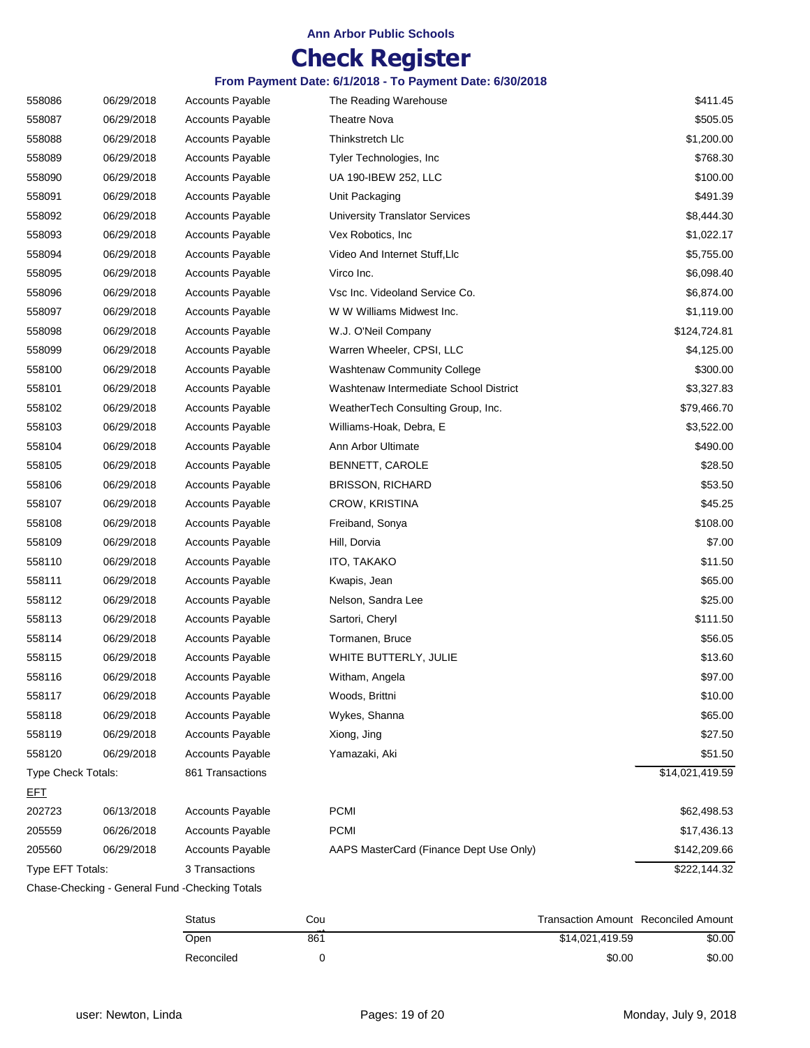## **Check Register**

| 558086             | 06/29/2018 | <b>Accounts Payable</b>                        | The Reading Warehouse                   | \$411.45        |
|--------------------|------------|------------------------------------------------|-----------------------------------------|-----------------|
| 558087             | 06/29/2018 | <b>Accounts Payable</b>                        | <b>Theatre Nova</b>                     | \$505.05        |
| 558088             | 06/29/2018 | <b>Accounts Payable</b>                        | Thinkstretch Llc                        | \$1,200.00      |
| 558089             | 06/29/2018 | <b>Accounts Payable</b>                        | Tyler Technologies, Inc.                | \$768.30        |
| 558090             | 06/29/2018 | <b>Accounts Payable</b>                        | UA 190-IBEW 252, LLC                    | \$100.00        |
| 558091             | 06/29/2018 | <b>Accounts Payable</b>                        | Unit Packaging                          | \$491.39        |
| 558092             | 06/29/2018 | <b>Accounts Payable</b>                        | <b>University Translator Services</b>   | \$8,444.30      |
| 558093             | 06/29/2018 | <b>Accounts Payable</b>                        | Vex Robotics, Inc                       | \$1,022.17      |
| 558094             | 06/29/2018 | Accounts Payable                               | Video And Internet Stuff, Llc           | \$5,755.00      |
| 558095             | 06/29/2018 | <b>Accounts Payable</b>                        | Virco Inc.                              | \$6,098.40      |
| 558096             | 06/29/2018 | <b>Accounts Payable</b>                        | Vsc Inc. Videoland Service Co.          | \$6,874.00      |
| 558097             | 06/29/2018 | <b>Accounts Payable</b>                        | W W Williams Midwest Inc.               | \$1,119.00      |
| 558098             | 06/29/2018 | <b>Accounts Payable</b>                        | W.J. O'Neil Company                     | \$124,724.81    |
| 558099             | 06/29/2018 | <b>Accounts Payable</b>                        | Warren Wheeler, CPSI, LLC               | \$4,125.00      |
| 558100             | 06/29/2018 | <b>Accounts Payable</b>                        | <b>Washtenaw Community College</b>      | \$300.00        |
| 558101             | 06/29/2018 | <b>Accounts Payable</b>                        | Washtenaw Intermediate School District  | \$3,327.83      |
| 558102             | 06/29/2018 | <b>Accounts Payable</b>                        | WeatherTech Consulting Group, Inc.      | \$79,466.70     |
| 558103             | 06/29/2018 | <b>Accounts Payable</b>                        | Williams-Hoak, Debra, E                 | \$3,522.00      |
| 558104             | 06/29/2018 | <b>Accounts Payable</b>                        | Ann Arbor Ultimate                      | \$490.00        |
| 558105             | 06/29/2018 | <b>Accounts Payable</b>                        | BENNETT, CAROLE                         | \$28.50         |
| 558106             | 06/29/2018 | <b>Accounts Payable</b>                        | <b>BRISSON, RICHARD</b>                 | \$53.50         |
| 558107             | 06/29/2018 | <b>Accounts Payable</b>                        | CROW, KRISTINA                          | \$45.25         |
| 558108             | 06/29/2018 | <b>Accounts Payable</b>                        | Freiband, Sonya                         | \$108.00        |
| 558109             | 06/29/2018 | <b>Accounts Payable</b>                        | Hill, Dorvia                            | \$7.00          |
| 558110             | 06/29/2018 | <b>Accounts Payable</b>                        | ITO, TAKAKO                             | \$11.50         |
| 558111             | 06/29/2018 | <b>Accounts Payable</b>                        | Kwapis, Jean                            | \$65.00         |
| 558112             | 06/29/2018 | <b>Accounts Payable</b>                        | Nelson, Sandra Lee                      | \$25.00         |
| 558113             | 06/29/2018 | <b>Accounts Payable</b>                        | Sartori, Cheryl                         | \$111.50        |
| 558114             | 06/29/2018 | <b>Accounts Payable</b>                        | Tormanen, Bruce                         | \$56.05         |
| 558115             | 06/29/2018 | <b>Accounts Payable</b>                        | WHITE BUTTERLY, JULIE                   | \$13.60         |
| 558116             | 06/29/2018 | <b>Accounts Payable</b>                        | Witham, Angela                          | \$97.00         |
| 558117             | 06/29/2018 | <b>Accounts Payable</b>                        | Woods, Brittni                          | \$10.00         |
| 558118             | 06/29/2018 | <b>Accounts Payable</b>                        | Wykes, Shanna                           | \$65.00         |
| 558119             | 06/29/2018 | <b>Accounts Payable</b>                        | Xiong, Jing                             | \$27.50         |
| 558120             | 06/29/2018 | <b>Accounts Payable</b>                        | Yamazaki, Aki                           | \$51.50         |
| Type Check Totals: |            | 861 Transactions                               |                                         | \$14,021,419.59 |
| <u>EFT</u>         |            |                                                |                                         |                 |
| 202723             | 06/13/2018 | <b>Accounts Payable</b>                        | <b>PCMI</b>                             | \$62,498.53     |
| 205559             | 06/26/2018 | <b>Accounts Payable</b>                        | <b>PCMI</b>                             | \$17,436.13     |
| 205560             | 06/29/2018 | <b>Accounts Payable</b>                        | AAPS MasterCard (Finance Dept Use Only) | \$142,209.66    |
| Type EFT Totals:   |            | 3 Transactions                                 |                                         | \$222,144.32    |
|                    |            | Chase-Checking - General Fund -Checking Totals |                                         |                 |

| Status     | Cou | <b>Transaction Amount Reconciled Amount</b> |        |
|------------|-----|---------------------------------------------|--------|
| Open       | 861 | \$14.021.419.59                             | \$0.00 |
| Reconciled |     | \$0.00                                      | \$0.00 |